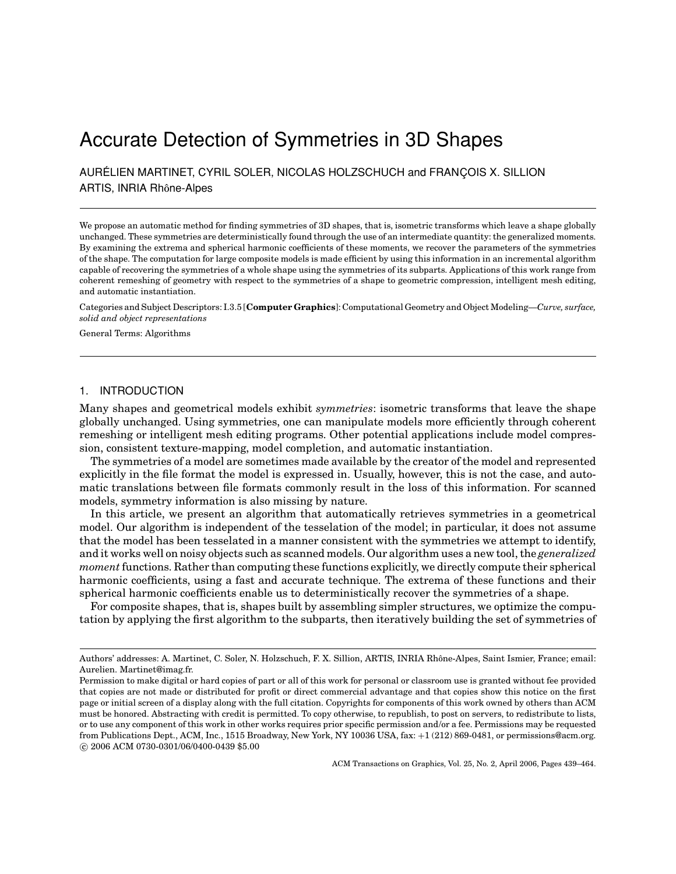# Accurate Detection of Symmetries in 3D Shapes

AURÉLIEN MARTINET, CYRIL SOLER, NICOLAS HOLZSCHUCH and FRANÇOIS X. SILLION ARTIS, INRIA Rhône-Alpes

We propose an automatic method for finding symmetries of 3D shapes, that is, isometric transforms which leave a shape globally unchanged. These symmetries are deterministically found through the use of an intermediate quantity: the generalized moments. By examining the extrema and spherical harmonic coefficients of these moments, we recover the parameters of the symmetries of the shape. The computation for large composite models is made efficient by using this information in an incremental algorithm capable of recovering the symmetries of a whole shape using the symmetries of its subparts. Applications of this work range from coherent remeshing of geometry with respect to the symmetries of a shape to geometric compression, intelligent mesh editing, and automatic instantiation.

Categories and Subject Descriptors: I.3.5 [**Computer Graphics**]: Computational Geometry and Object Modeling—*Curve, surface, solid and object representations*

General Terms: Algorithms

# 1. INTRODUCTION

Many shapes and geometrical models exhibit *symmetries*: isometric transforms that leave the shape globally unchanged. Using symmetries, one can manipulate models more efficiently through coherent remeshing or intelligent mesh editing programs. Other potential applications include model compression, consistent texture-mapping, model completion, and automatic instantiation.

The symmetries of a model are sometimes made available by the creator of the model and represented explicitly in the file format the model is expressed in. Usually, however, this is not the case, and automatic translations between file formats commonly result in the loss of this information. For scanned models, symmetry information is also missing by nature.

In this article, we present an algorithm that automatically retrieves symmetries in a geometrical model. Our algorithm is independent of the tesselation of the model; in particular, it does not assume that the model has been tesselated in a manner consistent with the symmetries we attempt to identify, and it works well on noisy objects such as scanned models. Our algorithm uses a new tool, the *generalized moment* functions. Rather than computing these functions explicitly, we directly compute their spherical harmonic coefficients, using a fast and accurate technique. The extrema of these functions and their spherical harmonic coefficients enable us to deterministically recover the symmetries of a shape.

For composite shapes, that is, shapes built by assembling simpler structures, we optimize the computation by applying the first algorithm to the subparts, then iteratively building the set of symmetries of

ACM Transactions on Graphics, Vol. 25, No. 2, April 2006, Pages 439–464.

Authors' addresses: A. Martinet, C. Soler, N. Holzschuch, F. X. Sillion, ARTIS, INRIA Rhone-Alpes, Saint Ismier, France; email: ˆ Aurelien. Martinet@imag.fr.

Permission to make digital or hard copies of part or all of this work for personal or classroom use is granted without fee provided that copies are not made or distributed for profit or direct commercial advantage and that copies show this notice on the first page or initial screen of a display along with the full citation. Copyrights for components of this work owned by others than ACM must be honored. Abstracting with credit is permitted. To copy otherwise, to republish, to post on servers, to redistribute to lists, or to use any component of this work in other works requires prior specific permission and/or a fee. Permissions may be requested from Publications Dept., ACM, Inc., 1515 Broadway, New York, NY 10036 USA, fax: +1 (212) 869-0481, or permissions@acm.org. -c 2006 ACM 0730-0301/06/0400-0439 \$5.00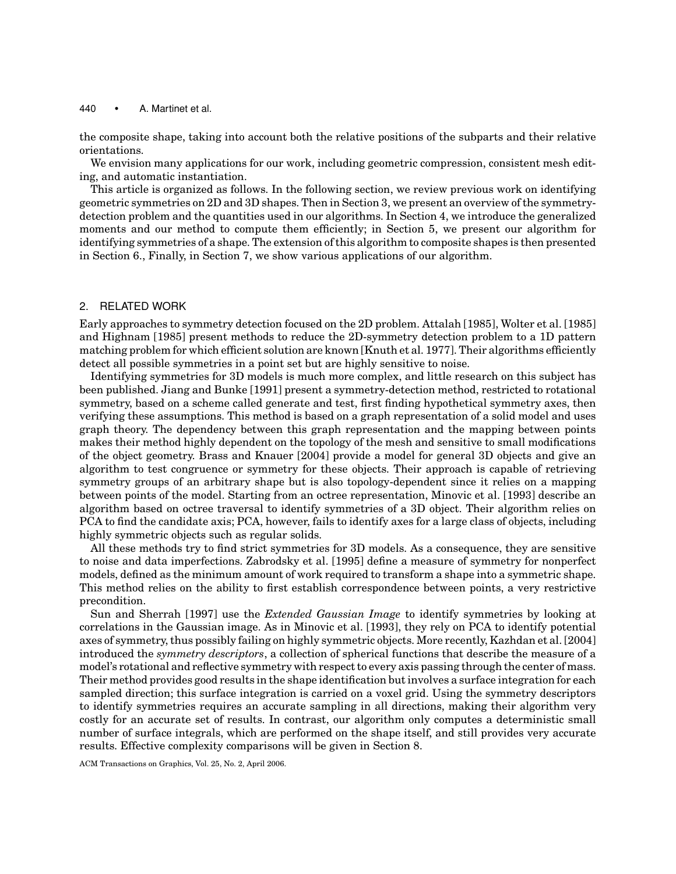the composite shape, taking into account both the relative positions of the subparts and their relative orientations.

We envision many applications for our work, including geometric compression, consistent mesh editing, and automatic instantiation.

This article is organized as follows. In the following section, we review previous work on identifying geometric symmetries on 2D and 3D shapes. Then in Section 3, we present an overview of the symmetrydetection problem and the quantities used in our algorithms. In Section 4, we introduce the generalized moments and our method to compute them efficiently; in Section 5, we present our algorithm for identifying symmetries of a shape. The extension of this algorithm to composite shapes is then presented in Section 6., Finally, in Section 7, we show various applications of our algorithm.

## 2. RELATED WORK

Early approaches to symmetry detection focused on the 2D problem. Attalah [1985], Wolter et al. [1985] and Highnam [1985] present methods to reduce the 2D-symmetry detection problem to a 1D pattern matching problem for which efficient solution are known [Knuth et al. 1977]. Their algorithms efficiently detect all possible symmetries in a point set but are highly sensitive to noise.

Identifying symmetries for 3D models is much more complex, and little research on this subject has been published. Jiang and Bunke [1991] present a symmetry-detection method, restricted to rotational symmetry, based on a scheme called generate and test, first finding hypothetical symmetry axes, then verifying these assumptions. This method is based on a graph representation of a solid model and uses graph theory. The dependency between this graph representation and the mapping between points makes their method highly dependent on the topology of the mesh and sensitive to small modifications of the object geometry. Brass and Knauer [2004] provide a model for general 3D objects and give an algorithm to test congruence or symmetry for these objects. Their approach is capable of retrieving symmetry groups of an arbitrary shape but is also topology-dependent since it relies on a mapping between points of the model. Starting from an octree representation, Minovic et al. [1993] describe an algorithm based on octree traversal to identify symmetries of a 3D object. Their algorithm relies on PCA to find the candidate axis; PCA, however, fails to identify axes for a large class of objects, including highly symmetric objects such as regular solids.

All these methods try to find strict symmetries for 3D models. As a consequence, they are sensitive to noise and data imperfections. Zabrodsky et al. [1995] define a measure of symmetry for nonperfect models, defined as the minimum amount of work required to transform a shape into a symmetric shape. This method relies on the ability to first establish correspondence between points, a very restrictive precondition.

Sun and Sherrah [1997] use the *Extended Gaussian Image* to identify symmetries by looking at correlations in the Gaussian image. As in Minovic et al. [1993], they rely on PCA to identify potential axes of symmetry, thus possibly failing on highly symmetric objects. More recently, Kazhdan et al. [2004] introduced the *symmetry descriptors*, a collection of spherical functions that describe the measure of a model's rotational and reflective symmetry with respect to every axis passing through the center of mass. Their method provides good results in the shape identification but involves a surface integration for each sampled direction; this surface integration is carried on a voxel grid. Using the symmetry descriptors to identify symmetries requires an accurate sampling in all directions, making their algorithm very costly for an accurate set of results. In contrast, our algorithm only computes a deterministic small number of surface integrals, which are performed on the shape itself, and still provides very accurate results. Effective complexity comparisons will be given in Section 8.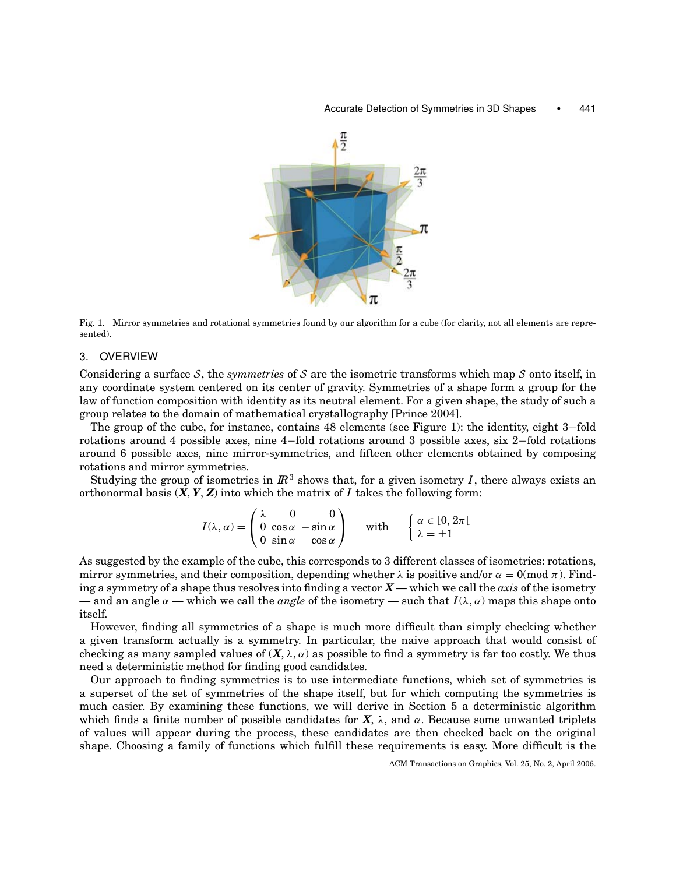#### Accurate Detection of Symmetries in 3D Shapes • 441



Fig. 1. Mirror symmetries and rotational symmetries found by our algorithm for a cube (for clarity, not all elements are represented).

#### 3. OVERVIEW

Considering a surface S, the *symmetries* of S are the isometric transforms which map S onto itself, in any coordinate system centered on its center of gravity. Symmetries of a shape form a group for the law of function composition with identity as its neutral element. For a given shape, the study of such a group relates to the domain of mathematical crystallography [Prince 2004].

The group of the cube, for instance, contains 48 elements (see Figure 1): the identity, eight 3−fold rotations around 4 possible axes, nine 4−fold rotations around 3 possible axes, six 2−fold rotations around 6 possible axes, nine mirror-symmetries, and fifteen other elements obtained by composing rotations and mirror symmetries.

Studying the group of isometries in  $\mathbb{R}^3$  shows that, for a given isometry *I*, there always exists an orthonormal basis  $(X, Y, Z)$  into which the matrix of *I* takes the following form:

$$
I(\lambda, \alpha) = \begin{pmatrix} \lambda & 0 & 0 \\ 0 & \cos \alpha & -\sin \alpha \\ 0 & \sin \alpha & \cos \alpha \end{pmatrix}
$$
 with 
$$
\begin{cases} \alpha \in [0, 2\pi[\\ \lambda = \pm 1 \end{cases}
$$

As suggested by the example of the cube, this corresponds to 3 different classes of isometries: rotations, mirror symmetries, and their composition, depending whether  $\lambda$  is positive and/or  $\alpha = 0 \pmod{\pi}$ . Finding a symmetry of a shape thus resolves into finding a vector *X* — which we call the *axis* of the isometry — and an angle  $\alpha$  — which we call the *angle* of the isometry — such that  $I(\lambda, \alpha)$  maps this shape onto itself.

However, finding all symmetries of a shape is much more difficult than simply checking whether a given transform actually is a symmetry. In particular, the naive approach that would consist of checking as many sampled values of  $(X, \lambda, \alpha)$  as possible to find a symmetry is far too costly. We thus need a deterministic method for finding good candidates.

Our approach to finding symmetries is to use intermediate functions, which set of symmetries is a superset of the set of symmetries of the shape itself, but for which computing the symmetries is much easier. By examining these functions, we will derive in Section 5 a deterministic algorithm which finds a finite number of possible candidates for  $X$ ,  $\lambda$ , and  $\alpha$ . Because some unwanted triplets of values will appear during the process, these candidates are then checked back on the original shape. Choosing a family of functions which fulfill these requirements is easy. More difficult is the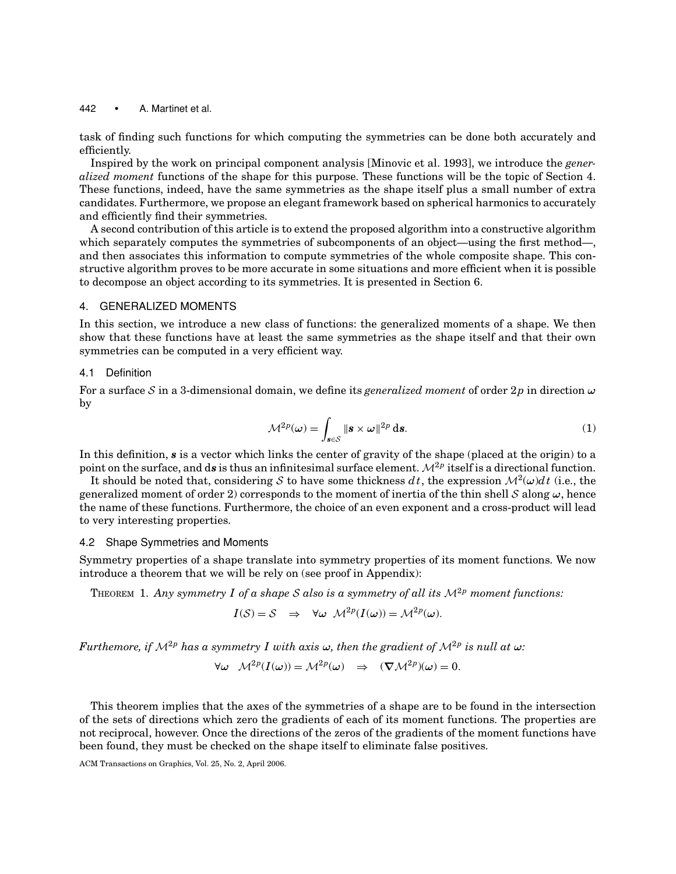task of finding such functions for which computing the symmetries can be done both accurately and efficiently.

Inspired by the work on principal component analysis [Minovic et al. 1993], we introduce the *generalized moment* functions of the shape for this purpose. These functions will be the topic of Section 4. These functions, indeed, have the same symmetries as the shape itself plus a small number of extra candidates. Furthermore, we propose an elegant framework based on spherical harmonics to accurately and efficiently find their symmetries.

A second contribution of this article is to extend the proposed algorithm into a constructive algorithm which separately computes the symmetries of subcomponents of an object—using the first method—, and then associates this information to compute symmetries of the whole composite shape. This constructive algorithm proves to be more accurate in some situations and more efficient when it is possible to decompose an object according to its symmetries. It is presented in Section 6.

# 4. GENERALIZED MOMENTS

In this section, we introduce a new class of functions: the generalized moments of a shape. We then show that these functions have at least the same symmetries as the shape itself and that their own symmetries can be computed in a very efficient way.

#### 4.1 Definition

For a surface S in a 3-dimensional domain, we define its *generalized moment* of order 2*p* in direction *ω* by

$$
\mathcal{M}^{2p}(\omega) = \int_{\mathbf{s} \in \mathcal{S}} \|\mathbf{s} \times \omega\|^{2p} \, \mathrm{d}\mathbf{s}.\tag{1}
$$

In this definition, *s* is a vector which links the center of gravity of the shape (placed at the origin) to a point on the surface, and ds is thus an infinitesimal surface element.  $\mathcal{M}^{2p}$  itself is a directional function.

It should be noted that, considering S to have some thickness  $dt$ , the expression  $\mathcal{M}^2(\omega)dt$  (i.e., the generalized moment of order 2) corresponds to the moment of inertia of the thin shell S along  $\omega$ , hence the name of these functions. Furthermore, the choice of an even exponent and a cross-product will lead to very interesting properties.

## 4.2 Shape Symmetries and Moments

Symmetry properties of a shape translate into symmetry properties of its moment functions. We now introduce a theorem that we will be rely on (see proof in Appendix):

THEOREM 1. Any symmetry I of a shape S also is a symmetry of all its  $M^{2p}$  moment functions:

$$
I(S) = S \Rightarrow \forall \omega \mathcal{M}^{2p}(I(\omega)) = \mathcal{M}^{2p}(\omega).
$$

*Furthemore, if*  $\mathcal{M}^{2p}$  *has a symmetry I with axis*  $\omega$ *, then the gradient of*  $\mathcal{M}^{2p}$  *is null at*  $\omega$ *:* 

$$
\forall \omega \quad \mathcal{M}^{2p}(I(\omega)) = \mathcal{M}^{2p}(\omega) \quad \Rightarrow \quad (\nabla \mathcal{M}^{2p})(\omega) = 0.
$$

This theorem implies that the axes of the symmetries of a shape are to be found in the intersection of the sets of directions which zero the gradients of each of its moment functions. The properties are not reciprocal, however. Once the directions of the zeros of the gradients of the moment functions have been found, they must be checked on the shape itself to eliminate false positives.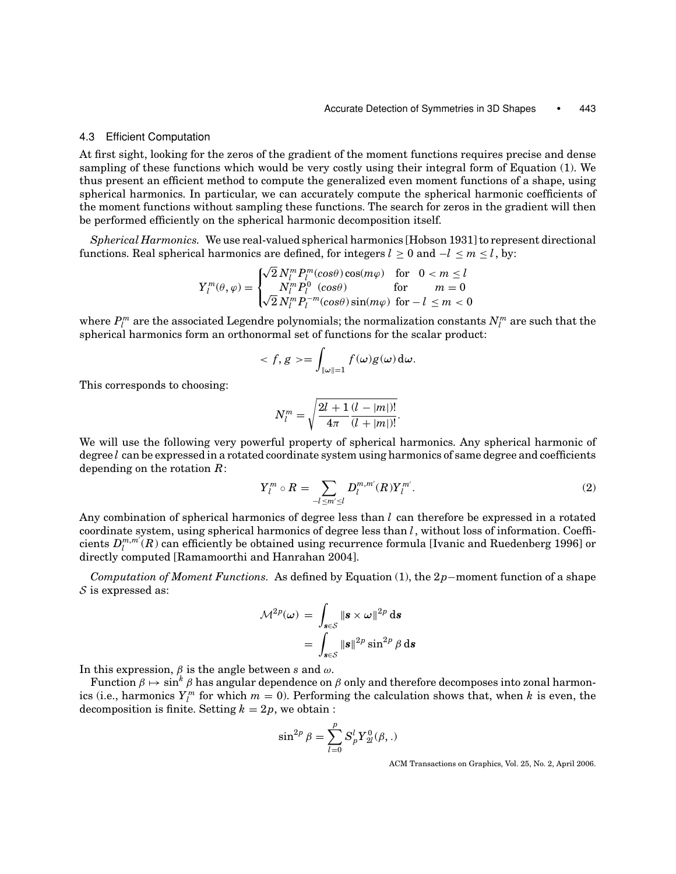#### 4.3 Efficient Computation

At first sight, looking for the zeros of the gradient of the moment functions requires precise and dense sampling of these functions which would be very costly using their integral form of Equation (1). We thus present an efficient method to compute the generalized even moment functions of a shape, using spherical harmonics. In particular, we can accurately compute the spherical harmonic coefficients of the moment functions without sampling these functions. The search for zeros in the gradient will then be performed efficiently on the spherical harmonic decomposition itself.

*Spherical Harmonics.* We use real-valued spherical harmonics [Hobson 1931] to represent directional functions. Real spherical harmonics are defined, for integers  $l \ge 0$  and  $-l \le m \le l$ , by:

$$
Y_l^m(\theta,\varphi) = \begin{cases} \sqrt{2} N_l^m P_l^m(\cos\theta) \cos(m\varphi) & \text{for} \quad 0 < m \le l \\ N_l^m P_l^0 & (\cos\theta) \quad \text{for} \quad m = 0 \\ \sqrt{2} N_l^m P_l^{-m}(\cos\theta) \sin(m\varphi) & \text{for} \quad -l \le m < 0 \end{cases}
$$

where  $P_l^m$  are the associated Legendre polynomials; the normalization constants  $N_l^m$  are such that the spherical harmonics form an orthonormal set of functions for the scalar product:

$$
\langle f, g \rangle = \int_{\|\omega\|=1} f(\omega) g(\omega) d\omega.
$$

This corresponds to choosing:

$$
N_l^m = \sqrt{\frac{2l+1}{4\pi} \frac{(l-|m|)!}{(l+|m|)!}}.
$$

We will use the following very powerful property of spherical harmonics. Any spherical harmonic of degree *l* can be expressed in a rotated coordinate system using harmonics of same degree and coefficients depending on the rotation *R*:

$$
Y_l^m \circ R = \sum_{-l \le m' \le l} D_l^{m,m'}(R) Y_l^{m'}.
$$
\n(2)

Any combination of spherical harmonics of degree less than *l* can therefore be expressed in a rotated coordinate system, using spherical harmonics of degree less than *l*, without loss of information. Coefficients  $D_l^{m,m'}(R)$  can efficiently be obtained using recurrence formula [Ivanic and Ruedenberg 1996] or directly computed [Ramamoorthi and Hanrahan 2004].

*Computation of Moment Functions.* As defined by Equation (1), the 2*p*−moment function of a shape  $S$  is expressed as:

$$
\mathcal{M}^{2p}(\omega) = \int_{\mathbf{s}\in\mathcal{S}} \|\mathbf{s} \times \omega\|^{2p} \,\mathrm{d}\mathbf{s}
$$

$$
= \int_{\mathbf{s}\in\mathcal{S}} \|\mathbf{s}\|^{2p} \sin^{2p}\beta \,\mathrm{d}\mathbf{s}
$$

In this expression,  $\beta$  is the angle between *s* and  $\omega$ .

Function  $\beta \mapsto \sin^k \beta$  has angular dependence on  $\beta$  only and therefore decomposes into zonal harmonics (i.e., harmonics  $Y_l^m$  for which  $m = 0$ ). Performing the calculation shows that, when  $k$  is even, the decomposition is finite. Setting  $k = 2p$ , we obtain :

$$
\sin^{2p} \beta = \sum_{l=0}^{p} S_p^l Y_{2l}^0(\beta, .)
$$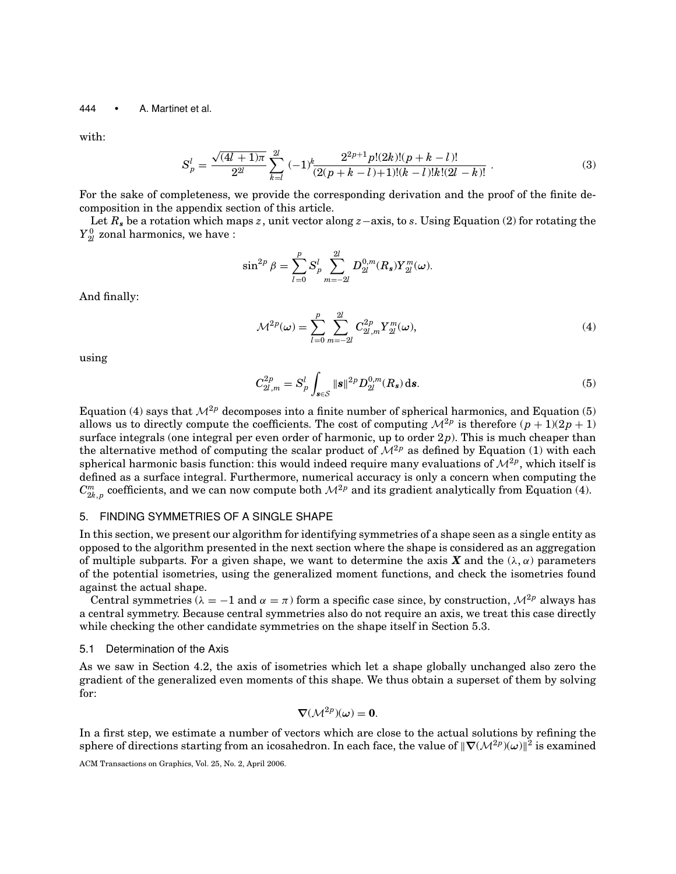with:

$$
S_p^l = \frac{\sqrt{(4l+1)\pi}}{2^{2l}} \sum_{k=l}^{2l} (-1)^k \frac{2^{2p+1} p!(2k)!(p+k-l)!}{(2(p+k-l)+1)!(k-l)!k!(2l-k)!} .
$$
 (3)

For the sake of completeness, we provide the corresponding derivation and the proof of the finite decomposition in the appendix section of this article.

Let *R<sup>s</sup>* be a rotation which maps *z*, unit vector along *z*−axis, to *s*. Using Equation (2) for rotating the  ${Y}_{2l}^0$  zonal harmonics, we have :

$$
\sin^{2p} \beta = \sum_{l=0}^{p} S_p^l \sum_{m=-2l}^{2l} D_{2l}^{0,m}(R_s) Y_{2l}^m(\omega).
$$

And finally:

$$
\mathcal{M}^{2p}(\omega) = \sum_{l=0}^{p} \sum_{m=-2l}^{2l} C_{2l,m}^{2p} Y_{2l}^{m}(\omega),
$$
\n(4)

using

$$
C_{2l,m}^{2p} = S_p^l \int_{\mathbf{s} \in \mathcal{S}} ||\mathbf{s}||^{2p} D_{2l}^{0,m}(R_\mathbf{s}) \, \mathrm{d}\mathbf{s}.\tag{5}
$$

Equation (4) says that  $\mathcal{M}^{2p}$  decomposes into a finite number of spherical harmonics, and Equation (5) allows us to directly compute the coefficients. The cost of computing  $\mathcal{M}^{2p}$  is therefore  $(p+1)(2p+1)$ surface integrals (one integral per even order of harmonic, up to order 2*p*). This is much cheaper than the alternative method of computing the scalar product of  $\mathcal{M}^{2p}$  as defined by Equation (1) with each spherical harmonic basis function: this would indeed require many evaluations of  $\mathcal{M}^{2p}$ , which itself is defined as a surface integral. Furthermore, numerical accuracy is only a concern when computing the  $C^m_{2k,p}$  coefficients, and we can now compute both  $\mathcal{M}^{2p}$  and its gradient analytically from Equation (4).

# 5. FINDING SYMMETRIES OF A SINGLE SHAPE

In this section, we present our algorithm for identifying symmetries of a shape seen as a single entity as opposed to the algorithm presented in the next section where the shape is considered as an aggregation of multiple subparts. For a given shape, we want to determine the axis **X** and the  $(\lambda, \alpha)$  parameters of the potential isometries, using the generalized moment functions, and check the isometries found against the actual shape.

Central symmetries ( $\lambda = -1$  and  $\alpha = \pi$ ) form a specific case since, by construction,  $\mathcal{M}^{2p}$  always has a central symmetry. Because central symmetries also do not require an axis, we treat this case directly while checking the other candidate symmetries on the shape itself in Section 5.3.

#### 5.1 Determination of the Axis

As we saw in Section 4.2, the axis of isometries which let a shape globally unchanged also zero the gradient of the generalized even moments of this shape. We thus obtain a superset of them by solving for:

$$
\nabla(\mathcal{M}^{2p})(\omega) = 0.
$$

In a first step, we estimate a number of vectors which are close to the actual solutions by refining the sphere of directions starting from an icosahedron. In each face, the value of  $\|\nabla(\mathcal{M}^{2p})(\omega)\|^2$  is examined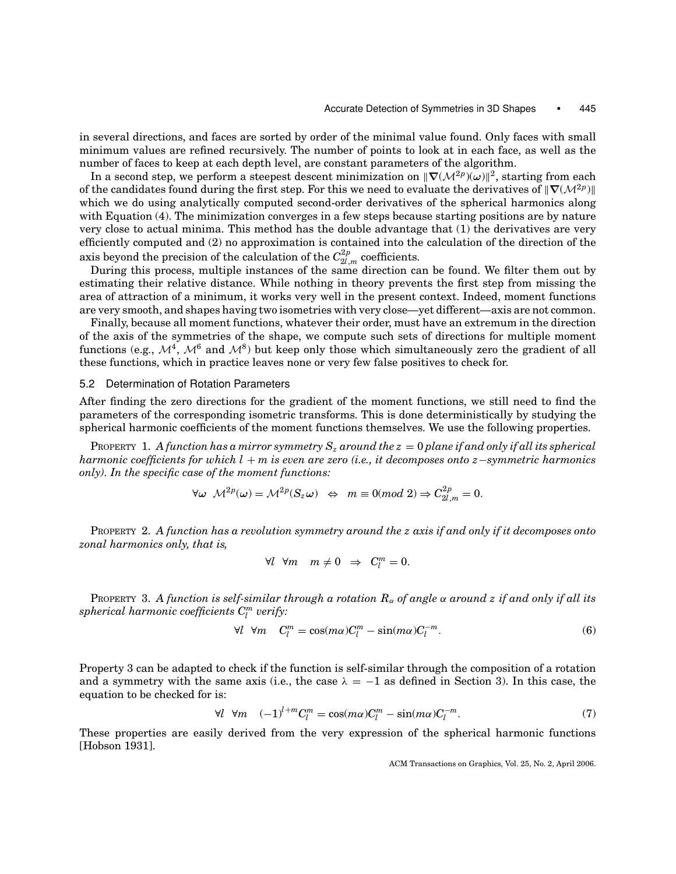in several directions, and faces are sorted by order of the minimal value found. Only faces with small minimum values are refined recursively. The number of points to look at in each face, as well as the number of faces to keep at each depth level, are constant parameters of the algorithm.

In a second step, we perform a steepest descent minimization on  $\|\nabla(\mathcal{M}^{2p})(\omega)\|^2$ , starting from each of the candidates found during the first step. For this we need to evaluate the derivatives of  $\|\nabla(\mathcal{M}^{2p})\|$ which we do using analytically computed second-order derivatives of the spherical harmonics along with Equation (4). The minimization converges in a few steps because starting positions are by nature very close to actual minima. This method has the double advantage that (1) the derivatives are very efficiently computed and (2) no approximation is contained into the calculation of the direction of the axis beyond the precision of the calculation of the  $C_{2l,m}^{2p}$  coefficients.

During this process, multiple instances of the same direction can be found. We filter them out by estimating their relative distance. While nothing in theory prevents the first step from missing the area of attraction of a minimum, it works very well in the present context. Indeed, moment functions are very smooth, and shapes having two isometries with very close—yet different—axis are not common.

Finally, because all moment functions, whatever their order, must have an extremum in the direction of the axis of the symmetries of the shape, we compute such sets of directions for multiple moment functions (e.g.,  $\mathcal{M}^4$ ,  $\mathcal{M}^6$  and  $\mathcal{M}^8$ ) but keep only those which simultaneously zero the gradient of all these functions, which in practice leaves none or very few false positives to check for.

## 5.2 Determination of Rotation Parameters

After finding the zero directions for the gradient of the moment functions, we still need to find the parameters of the corresponding isometric transforms. This is done deterministically by studying the spherical harmonic coefficients of the moment functions themselves. We use the following properties.

PROPERTY 1. A function has a mirror symmetry  $S_z$  around the  $z = 0$  plane if and only if all its spherical *harmonic coefficients for which l* + *m is even are zero (i.e., it decomposes onto z*−*symmetric harmonics only). In the specific case of the moment functions:*

$$
\forall \omega \ \mathcal{M}^{2p}(\omega) = \mathcal{M}^{2p}(S_z \omega) \ \Leftrightarrow \ m \equiv 0 \pmod{2} \Rightarrow C_{2l,m}^{2p} = 0.
$$

PROPERTY 2. *A function has a revolution symmetry around the z axis if and only if it decomposes onto zonal harmonics only, that is,*

$$
\forall l \ \forall m \ \ m \neq 0 \ \Rightarrow \ C_l^m = 0.
$$

PROPERTY 3. *A function is self-similar through a rotation R*<sup>α</sup> *of angle* α *around z if and only if all its*  $spherical$   $harmonic$   $coefficients$   $C^m_l$   $verify$ :

$$
\forall l \ \forall m \quad C_l^m = \cos(m\alpha)C_l^m - \sin(m\alpha)C_l^{-m}.\tag{6}
$$

Property 3 can be adapted to check if the function is self-similar through the composition of a rotation and a symmetry with the same axis (i.e., the case  $\lambda = -1$  as defined in Section 3). In this case, the equation to be checked for is:

$$
\forall l \ \forall m \quad (-1)^{l+m} C_l^m = \cos(m\alpha) C_l^m - \sin(m\alpha) C_l^{-m}.\tag{7}
$$

These properties are easily derived from the very expression of the spherical harmonic functions [Hobson 1931].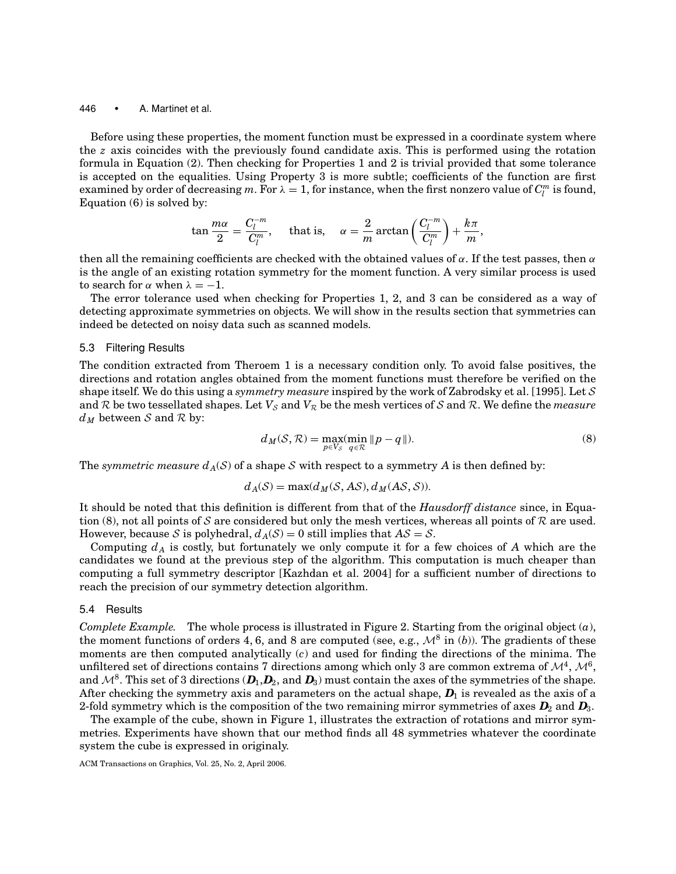Before using these properties, the moment function must be expressed in a coordinate system where the *z* axis coincides with the previously found candidate axis. This is performed using the rotation formula in Equation (2). Then checking for Properties 1 and 2 is trivial provided that some tolerance is accepted on the equalities. Using Property 3 is more subtle; coefficients of the function are first examined by order of decreasing  $m$ . For  $\lambda = 1$ , for instance, when the first nonzero value of  $C_l^m$  is found, Equation (6) is solved by:

$$
\tan \frac{m\alpha}{2} = \frac{C_l^{-m}}{C_l^m}, \quad \text{ that is, } \quad \alpha = \frac{2}{m} \arctan \left( \frac{C_l^{-m}}{C_l^m} \right) + \frac{k\pi}{m},
$$

then all the remaining coefficients are checked with the obtained values of  $\alpha$ . If the test passes, then  $\alpha$ is the angle of an existing rotation symmetry for the moment function. A very similar process is used to search for  $\alpha$  when  $\lambda = -1$ .

The error tolerance used when checking for Properties 1, 2, and 3 can be considered as a way of detecting approximate symmetries on objects. We will show in the results section that symmetries can indeed be detected on noisy data such as scanned models.

## 5.3 Filtering Results

The condition extracted from Theroem 1 is a necessary condition only. To avoid false positives, the directions and rotation angles obtained from the moment functions must therefore be verified on the shape itself. We do this using a *symmetry measure* inspired by the work of Zabrodsky et al. [1995]. Let S and R be two tessellated shapes. Let  $V_{\mathcal{S}}$  and  $V_{\mathcal{R}}$  be the mesh vertices of S and R. We define the *measure*  $d_M$  between S and R by:

$$
d_M(S, \mathcal{R}) = \max_{p \in V_S} (\min_{q \in \mathcal{R}} \|p - q\|).
$$
 (8)

The *symmetric measure*  $d_A(S)$  of a shape S with respect to a symmetry A is then defined by:

$$
d_A(S) = \max(d_M(S, AS), d_M(AS, S)).
$$

It should be noted that this definition is different from that of the *Hausdorff distance* since, in Equation (8), not all points of S are considered but only the mesh vertices, whereas all points of R are used. However, because S is polyhedral,  $d_A(S) = 0$  still implies that  $AS = S$ .

Computing  $d_A$  is costly, but fortunately we only compute it for a few choices of A which are the candidates we found at the previous step of the algorithm. This computation is much cheaper than computing a full symmetry descriptor [Kazhdan et al. 2004] for a sufficient number of directions to reach the precision of our symmetry detection algorithm.

## 5.4 Results

*Complete Example.* The whole process is illustrated in Figure 2. Starting from the original object (*a*), the moment functions of orders 4, 6, and 8 are computed (see, e.g.,  $\mathcal{M}^8$  in (*b*)). The gradients of these moments are then computed analytically (*c*) and used for finding the directions of the minima. The unfiltered set of directions contains 7 directions among which only 3 are common extrema of  $\mathcal{M}^4$ ,  $\mathcal{M}^6$ , and  $\mathcal{M}^8$ . This set of 3 directions  $(D_1, D_2)$ , and  $D_3$  must contain the axes of the symmetries of the shape. After checking the symmetry axis and parameters on the actual shape,  $D_1$  is revealed as the axis of a 2-fold symmetry which is the composition of the two remaining mirror symmetries of axes  $D_2$  and  $D_3$ .

The example of the cube, shown in Figure 1, illustrates the extraction of rotations and mirror symmetries. Experiments have shown that our method finds all 48 symmetries whatever the coordinate system the cube is expressed in originaly.

ACM Transactions on Graphics, Vol. 25, No. 2, April 2006.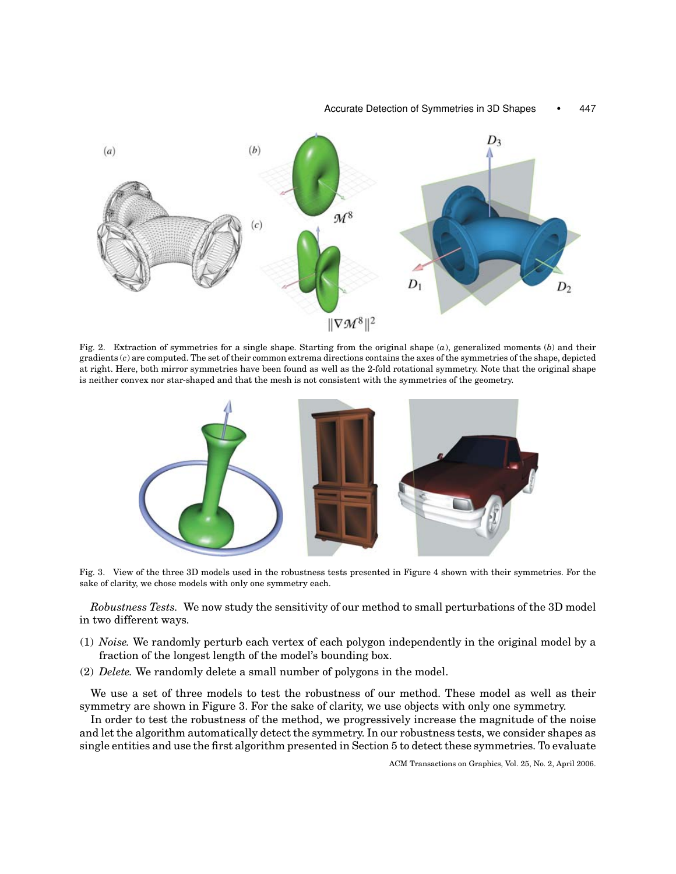

Fig. 2. Extraction of symmetries for a single shape. Starting from the original shape (*a*), generalized moments (*b*) and their gradients (*c*) are computed. The set of their common extrema directions contains the axes of the symmetries of the shape, depicted at right. Here, both mirror symmetries have been found as well as the 2-fold rotational symmetry. Note that the original shape is neither convex nor star-shaped and that the mesh is not consistent with the symmetries of the geometry.



Fig. 3. View of the three 3D models used in the robustness tests presented in Figure 4 shown with their symmetries. For the sake of clarity, we chose models with only one symmetry each.

*Robustness Tests.* We now study the sensitivity of our method to small perturbations of the 3D model in two different ways.

- (1) *Noise.* We randomly perturb each vertex of each polygon independently in the original model by a fraction of the longest length of the model's bounding box.
- (2) *Delete.* We randomly delete a small number of polygons in the model.

We use a set of three models to test the robustness of our method. These model as well as their symmetry are shown in Figure 3. For the sake of clarity, we use objects with only one symmetry.

In order to test the robustness of the method, we progressively increase the magnitude of the noise and let the algorithm automatically detect the symmetry. In our robustness tests, we consider shapes as single entities and use the first algorithm presented in Section 5 to detect these symmetries. To evaluate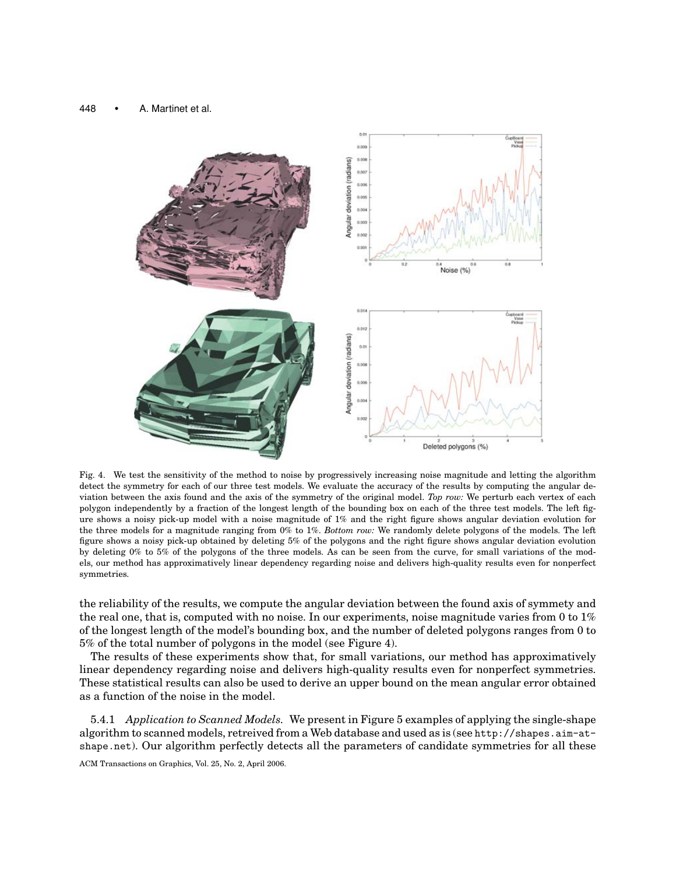

Fig. 4. We test the sensitivity of the method to noise by progressively increasing noise magnitude and letting the algorithm detect the symmetry for each of our three test models. We evaluate the accuracy of the results by computing the angular deviation between the axis found and the axis of the symmetry of the original model. *Top row:* We perturb each vertex of each polygon independently by a fraction of the longest length of the bounding box on each of the three test models. The left figure shows a noisy pick-up model with a noise magnitude of 1% and the right figure shows angular deviation evolution for the three models for a magnitude ranging from 0% to 1%. *Bottom row:* We randomly delete polygons of the models. The left figure shows a noisy pick-up obtained by deleting 5% of the polygons and the right figure shows angular deviation evolution by deleting 0% to 5% of the polygons of the three models. As can be seen from the curve, for small variations of the models, our method has approximatively linear dependency regarding noise and delivers high-quality results even for nonperfect symmetries.

the reliability of the results, we compute the angular deviation between the found axis of symmety and the real one, that is, computed with no noise. In our experiments, noise magnitude varies from 0 to 1% of the longest length of the model's bounding box, and the number of deleted polygons ranges from 0 to 5% of the total number of polygons in the model (see Figure 4).

The results of these experiments show that, for small variations, our method has approximatively linear dependency regarding noise and delivers high-quality results even for nonperfect symmetries. These statistical results can also be used to derive an upper bound on the mean angular error obtained as a function of the noise in the model.

5.4.1 *Application to Scanned Models.* We present in Figure 5 examples of applying the single-shape algorithm to scanned models, retreived from a Web database and used as is (see http://shapes.aim-atshape.net). Our algorithm perfectly detects all the parameters of candidate symmetries for all these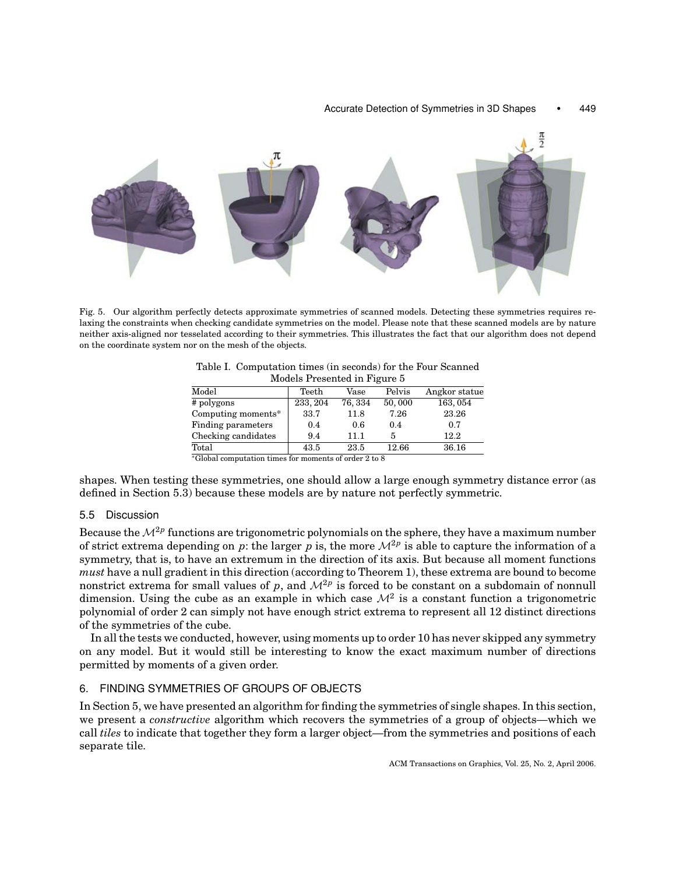#### Accurate Detection of Symmetries in 3D Shapes • 449



Fig. 5. Our algorithm perfectly detects approximate symmetries of scanned models. Detecting these symmetries requires relaxing the constraints when checking candidate symmetries on the model. Please note that these scanned models are by nature neither axis-aligned nor tesselated according to their symmetries. This illustrates the fact that our algorithm does not depend on the coordinate system nor on the mesh of the objects.

| Models Liesented III Ligure 5                                        |          |         |        |               |  |
|----------------------------------------------------------------------|----------|---------|--------|---------------|--|
| Model                                                                | Teeth    | Vase    | Pelvis | Angkor statue |  |
| # polygons                                                           | 233, 204 | 76, 334 | 50,000 | 163, 054      |  |
| Computing moments*                                                   | 33.7     | 11.8    | 7.26   | 23.26         |  |
| Finding parameters                                                   | 0.4      | 0.6     | 0.4    | 0.7           |  |
| Checking candidates                                                  | 9.4      | 11.1    |        | 12.2          |  |
| Total                                                                | 43.5     | 23.5    | 12.66  | 36.16         |  |
| $\mathbb{R}$ and the set of the set of $\mathbb{R}$ and $\mathbb{R}$ |          |         |        |               |  |

Table I. Computation times (in seconds) for the Four Scanned Models Presented in Figure 5

<sup>∗</sup>Global computation times for moments of order 2 to 8

shapes. When testing these symmetries, one should allow a large enough symmetry distance error (as defined in Section 5.3) because these models are by nature not perfectly symmetric.

# 5.5 Discussion

Because the M<sup>2</sup>*<sup>p</sup>* functions are trigonometric polynomials on the sphere, they have a maximum number of strict extrema depending on *p*: the larger *p* is, the more  $\mathcal{M}^{2p}$  is able to capture the information of a symmetry, that is, to have an extremum in the direction of its axis. But because all moment functions *must* have a null gradient in this direction (according to Theorem 1), these extrema are bound to become nonstrict extrema for small values of *p*, and  $\mathcal{M}^{2p}$  is forced to be constant on a subdomain of nonnull dimension. Using the cube as an example in which case  $\mathcal{M}^2$  is a constant function a trigonometric polynomial of order 2 can simply not have enough strict extrema to represent all 12 distinct directions of the symmetries of the cube.

In all the tests we conducted, however, using moments up to order 10 has never skipped any symmetry on any model. But it would still be interesting to know the exact maximum number of directions permitted by moments of a given order.

# 6. FINDING SYMMETRIES OF GROUPS OF OBJECTS

In Section 5, we have presented an algorithm for finding the symmetries of single shapes. In this section, we present a *constructive* algorithm which recovers the symmetries of a group of objects—which we call *tiles* to indicate that together they form a larger object—from the symmetries and positions of each separate tile.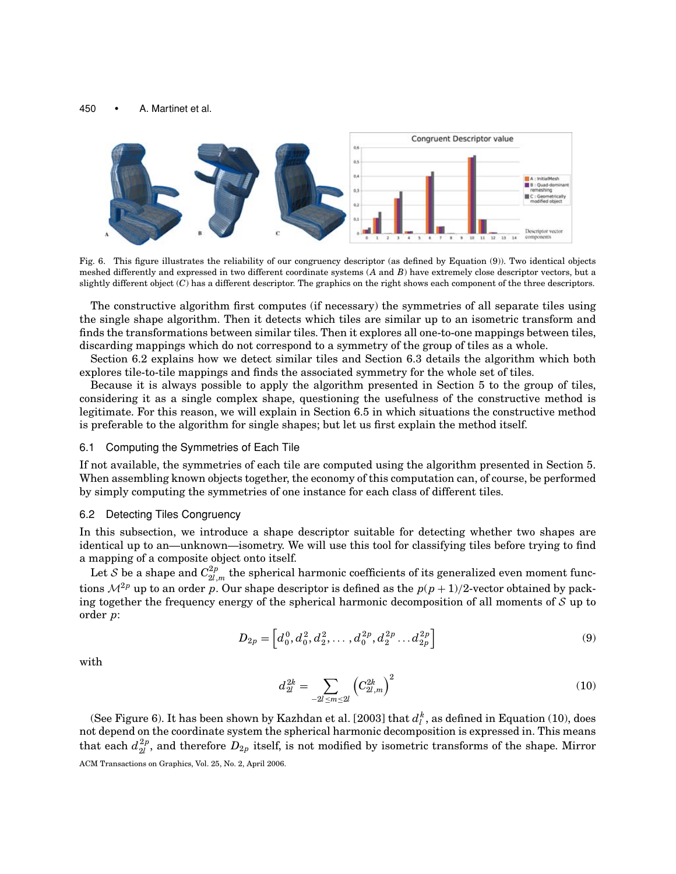

Fig. 6. This figure illustrates the reliability of our congruency descriptor (as defined by Equation (9)). Two identical objects meshed differently and expressed in two different coordinate systems (*A* and *B*) have extremely close descriptor vectors, but a slightly different object (*C*) has a different descriptor. The graphics on the right shows each component of the three descriptors.

The constructive algorithm first computes (if necessary) the symmetries of all separate tiles using the single shape algorithm. Then it detects which tiles are similar up to an isometric transform and finds the transformations between similar tiles. Then it explores all one-to-one mappings between tiles, discarding mappings which do not correspond to a symmetry of the group of tiles as a whole.

Section 6.2 explains how we detect similar tiles and Section 6.3 details the algorithm which both explores tile-to-tile mappings and finds the associated symmetry for the whole set of tiles.

Because it is always possible to apply the algorithm presented in Section 5 to the group of tiles, considering it as a single complex shape, questioning the usefulness of the constructive method is legitimate. For this reason, we will explain in Section 6.5 in which situations the constructive method is preferable to the algorithm for single shapes; but let us first explain the method itself.

## 6.1 Computing the Symmetries of Each Tile

If not available, the symmetries of each tile are computed using the algorithm presented in Section 5. When assembling known objects together, the economy of this computation can, of course, be performed by simply computing the symmetries of one instance for each class of different tiles.

#### 6.2 Detecting Tiles Congruency

In this subsection, we introduce a shape descriptor suitable for detecting whether two shapes are identical up to an—unknown—isometry. We will use this tool for classifying tiles before trying to find a mapping of a composite object onto itself.

Let  ${\cal S}$  be a shape and  $C^{2p}_{2l,m}$  the spherical harmonic coefficients of its generalized even moment functions  $\mathcal{M}^{2p}$  up to an order *p*. Our shape descriptor is defined as the  $p(p+1)/2$ -vector obtained by packing together the frequency energy of the spherical harmonic decomposition of all moments of  $S$  up to order *p*:

$$
D_{2p} = \left[ d_0^0, d_0^2, d_2^2, \dots, d_0^{2p}, d_2^{2p}, \dots, d_{2p}^{2p} \right]
$$
 (9)

with

$$
d_{2l}^{2k} = \sum_{-2l \le m \le 2l} \left( C_{2l,m}^{2k} \right)^2 \tag{10}
$$

(See Figure 6). It has been shown by Kazhdan et al. [2003] that  $d_l^{\,k}$  , as defined in Equation (10), does not depend on the coordinate system the spherical harmonic decomposition is expressed in. This means that each  $d_{2l}^{2p}$ , and therefore  $D_{2p}$  itself, is not modified by isometric transforms of the shape. Mirror ACM Transactions on Graphics, Vol. 25, No. 2, April 2006.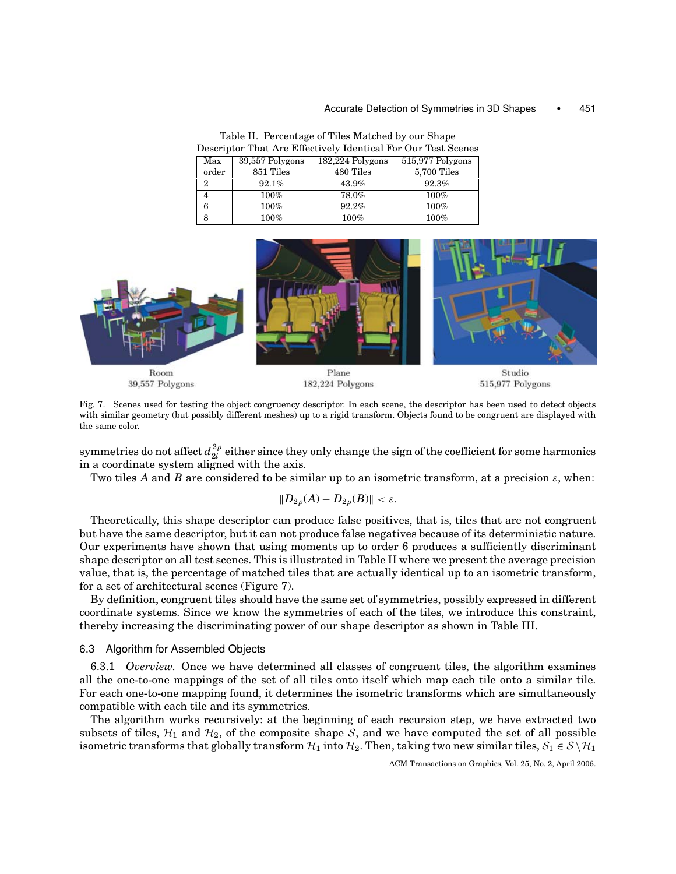#### Accurate Detection of Symmetries in 3D Shapes • 451

| Descriptor That the Entertry nuclidital For Our Test Secrits |                 |                  |                  |  |
|--------------------------------------------------------------|-----------------|------------------|------------------|--|
| Max                                                          | 39,557 Polygons | 182,224 Polygons | 515,977 Polygons |  |
| order                                                        | 851 Tiles       | 480 Tiles        | 5,700 Tiles      |  |
| $\overline{2}$                                               | 92.1%           | 43.9%            | 92.3%            |  |
| 4                                                            | 100%            | 78.0%            | $100\%$          |  |
| 6                                                            | 100%            | 92.2%            | 100%             |  |
| 8                                                            | $100\%$         | $100\%$          | 100%             |  |

Table II. Percentage of Tiles Matched by our Shape Descriptor That Are Effectively Identical For Our Test Scenes



Fig. 7. Scenes used for testing the object congruency descriptor. In each scene, the descriptor has been used to detect objects with similar geometry (but possibly different meshes) up to a rigid transform. Objects found to be congruent are displayed with the same color.

symmetries do not affect  $d_{2l}^{2p}$  either since they only change the sign of the coefficient for some harmonics in a coordinate system aligned with the axis.

Two tiles *A* and *B* are considered to be similar up to an isometric transform, at a precision  $\varepsilon$ , when:

$$
||D_{2p}(A) - D_{2p}(B)|| < \varepsilon.
$$

Theoretically, this shape descriptor can produce false positives, that is, tiles that are not congruent but have the same descriptor, but it can not produce false negatives because of its deterministic nature. Our experiments have shown that using moments up to order 6 produces a sufficiently discriminant shape descriptor on all test scenes. This is illustrated in Table II where we present the average precision value, that is, the percentage of matched tiles that are actually identical up to an isometric transform, for a set of architectural scenes (Figure 7).

By definition, congruent tiles should have the same set of symmetries, possibly expressed in different coordinate systems. Since we know the symmetries of each of the tiles, we introduce this constraint, thereby increasing the discriminating power of our shape descriptor as shown in Table III.

## 6.3 Algorithm for Assembled Objects

6.3.1 *Overview.* Once we have determined all classes of congruent tiles, the algorithm examines all the one-to-one mappings of the set of all tiles onto itself which map each tile onto a similar tile. For each one-to-one mapping found, it determines the isometric transforms which are simultaneously compatible with each tile and its symmetries.

The algorithm works recursively: at the beginning of each recursion step, we have extracted two subsets of tiles,  $\mathcal{H}_1$  and  $\mathcal{H}_2$ , of the composite shape S, and we have computed the set of all possible isometric transforms that globally transform  $H_1$  into  $H_2$ . Then, taking two new similar tiles,  $S_1 \in S \setminus H_1$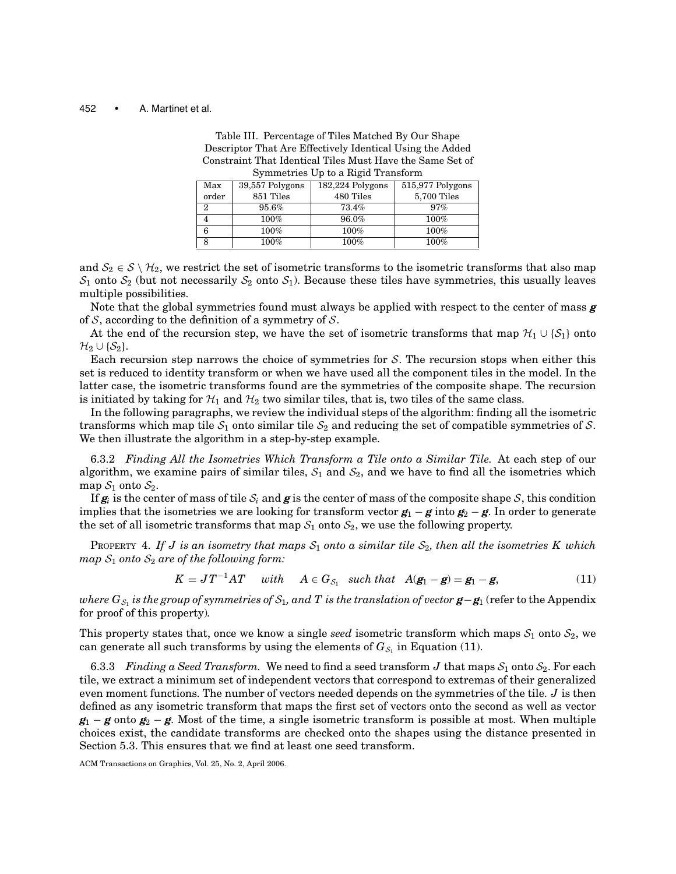| Table III. Percentage of Tiles Matched By Our Shape       |
|-----------------------------------------------------------|
| Descriptor That Are Effectively Identical Using the Added |
| Constraint That Identical Tiles Must Have the Same Set of |
| Symmetries Up to a Rigid Transform                        |

| $\sigma$ and $\sigma$ and $\sigma$ and $\sigma$ and $\sigma$ and $\sigma$ and $\sigma$ and $\sigma$ and $\sigma$ and $\sigma$ and $\sigma$ and $\sigma$ and $\sigma$ are $\sigma$ and $\sigma$ are $\sigma$ and $\sigma$ are $\sigma$ and $\sigma$ are $\sigma$ and $\sigma$ are $\sigma$ and $\sigma$ are $\sigma$ and $\sigma$ |                 |                  |                  |  |
|----------------------------------------------------------------------------------------------------------------------------------------------------------------------------------------------------------------------------------------------------------------------------------------------------------------------------------|-----------------|------------------|------------------|--|
| Max                                                                                                                                                                                                                                                                                                                              | 39,557 Polygons | 182,224 Polygons | 515,977 Polygons |  |
| order                                                                                                                                                                                                                                                                                                                            | 851 Tiles       | 480 Tiles        | 5,700 Tiles      |  |
| 2                                                                                                                                                                                                                                                                                                                                | 95.6%           | 73.4%            | 97%              |  |
|                                                                                                                                                                                                                                                                                                                                  | 100%            | 96.0%            | $100\%$          |  |
|                                                                                                                                                                                                                                                                                                                                  | 100%            | 100%             | $100\%$          |  |
|                                                                                                                                                                                                                                                                                                                                  | 100%            | 100%             | $100\%$          |  |

and  $S_2 \in S \setminus H_2$ , we restrict the set of isometric transforms to the isometric transforms that also map  $S_1$  onto  $S_2$  (but not necessarily  $S_2$  onto  $S_1$ ). Because these tiles have symmetries, this usually leaves multiple possibilities.

Note that the global symmetries found must always be applied with respect to the center of mass *g* of  $S$ , according to the definition of a symmetry of  $S$ .

At the end of the recursion step, we have the set of isometric transforms that map  $\mathcal{H}_1 \cup \{S_1\}$  onto  $\mathcal{H}_2 \cup \{\mathcal{S}_2\}.$ 

Each recursion step narrows the choice of symmetries for  $S$ . The recursion stops when either this set is reduced to identity transform or when we have used all the component tiles in the model. In the latter case, the isometric transforms found are the symmetries of the composite shape. The recursion is initiated by taking for  $\mathcal{H}_1$  and  $\mathcal{H}_2$  two similar tiles, that is, two tiles of the same class.

In the following paragraphs, we review the individual steps of the algorithm: finding all the isometric transforms which map tile  $S_1$  onto similar tile  $S_2$  and reducing the set of compatible symmetries of S. We then illustrate the algorithm in a step-by-step example.

6.3.2 *Finding All the Isometries Which Transform a Tile onto a Similar Tile.* At each step of our algorithm, we examine pairs of similar tiles,  $S_1$  and  $S_2$ , and we have to find all the isometries which map  $S_1$  onto  $S_2$ .

If  $g_i$  is the center of mass of tile  $S_i$  and g is the center of mass of the composite shape S, this condition implies that the isometries we are looking for transform vector  $g_1 - g$  into  $g_2 - g$ . In order to generate the set of all isometric transforms that map  $S_1$  onto  $S_2$ , we use the following property.

PROPERTY 4. If J is an isometry that maps  $S_1$  onto a similar tile  $S_2$ , then all the isometries K which  $map S_1$  *onto*  $S_2$  *are of the following form:* 

$$
K = JT^{-1}AT \quad with \quad A \in G_{S_1} \quad such \, that \quad A(\mathbf{g}_1 - \mathbf{g}) = \mathbf{g}_1 - \mathbf{g}, \tag{11}
$$

*where*  $G_{S_1}$  *is the group of symmetries of*  $S_1$ *, and T is the translation of vector*  $g - g_1$  (refer to the Appendix for proof of this property)*.*

This property states that, once we know a single *seed* isometric transform which maps  $S_1$  onto  $S_2$ , we can generate all such transforms by using the elements of  $G_{S_1}$  in Equation (11).

6.3.3 *Finding a Seed Transform.* We need to find a seed transform *J* that maps  $S_1$  onto  $S_2$ . For each tile, we extract a minimum set of independent vectors that correspond to extremas of their generalized even moment functions. The number of vectors needed depends on the symmetries of the tile. *J* is then defined as any isometric transform that maps the first set of vectors onto the second as well as vector  $g_1 - g$  onto  $g_2 - g$ . Most of the time, a single isometric transform is possible at most. When multiple choices exist, the candidate transforms are checked onto the shapes using the distance presented in Section 5.3. This ensures that we find at least one seed transform.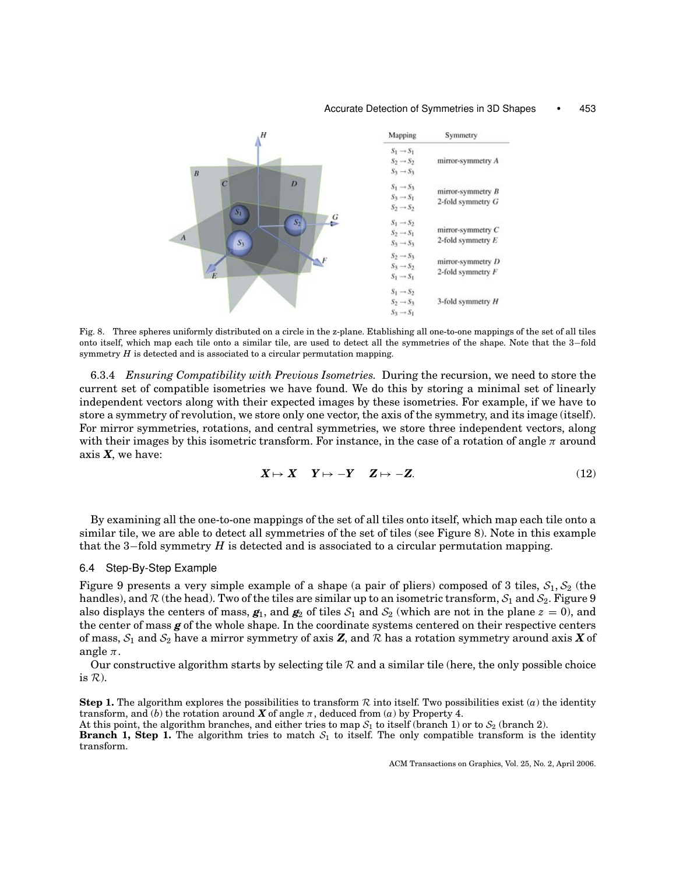#### Accurate Detection of Symmetries in 3D Shapes • 453



Fig. 8. Three spheres uniformly distributed on a circle in the z-plane. Etablishing all one-to-one mappings of the set of all tiles onto itself, which map each tile onto a similar tile, are used to detect all the symmetries of the shape. Note that the 3−fold symmetry *H* is detected and is associated to a circular permutation mapping.

6.3.4 *Ensuring Compatibility with Previous Isometries.* During the recursion, we need to store the current set of compatible isometries we have found. We do this by storing a minimal set of linearly independent vectors along with their expected images by these isometries. For example, if we have to store a symmetry of revolution, we store only one vector, the axis of the symmetry, and its image (itself). For mirror symmetries, rotations, and central symmetries, we store three independent vectors, along with their images by this isometric transform. For instance, in the case of a rotation of angle  $\pi$  around axis *X*, we have:

$$
X \mapsto X \quad Y \mapsto -Y \quad Z \mapsto -Z. \tag{12}
$$

By examining all the one-to-one mappings of the set of all tiles onto itself, which map each tile onto a similar tile, we are able to detect all symmetries of the set of tiles (see Figure 8). Note in this example that the 3−fold symmetry *H* is detected and is associated to a circular permutation mapping.

## 6.4 Step-By-Step Example

Figure 9 presents a very simple example of a shape (a pair of pliers) composed of 3 tiles,  $S_1$ ,  $S_2$  (the handles), and  $\mathcal R$  (the head). Two of the tiles are similar up to an isometric transform,  $S_1$  and  $S_2$ . Figure 9 also displays the centers of mass,  $g_1$ , and  $g_2$  of tiles  $S_1$  and  $S_2$  (which are not in the plane  $z = 0$ ), and the center of mass *g* of the whole shape. In the coordinate systems centered on their respective centers of mass,  $S_1$  and  $S_2$  have a mirror symmetry of axis **Z**, and  $R$  has a rotation symmetry around axis **X** of angle  $\pi$ .

Our constructive algorithm starts by selecting tile  $R$  and a similar tile (here, the only possible choice is  $R$ ).

**Step 1.** The algorithm explores the possibilities to transform  $R$  into itself. Two possibilities exist  $(a)$  the identity transform, and (*b*) the rotation around *X* of angle  $\pi$ , deduced from (*a*) by Property 4.

At this point, the algorithm branches, and either tries to map  $S_1$  to itself (branch 1) or to  $S_2$  (branch 2).

**Branch 1, Step 1.** The algorithm tries to match  $S_1$  to itself. The only compatible transform is the identity transform.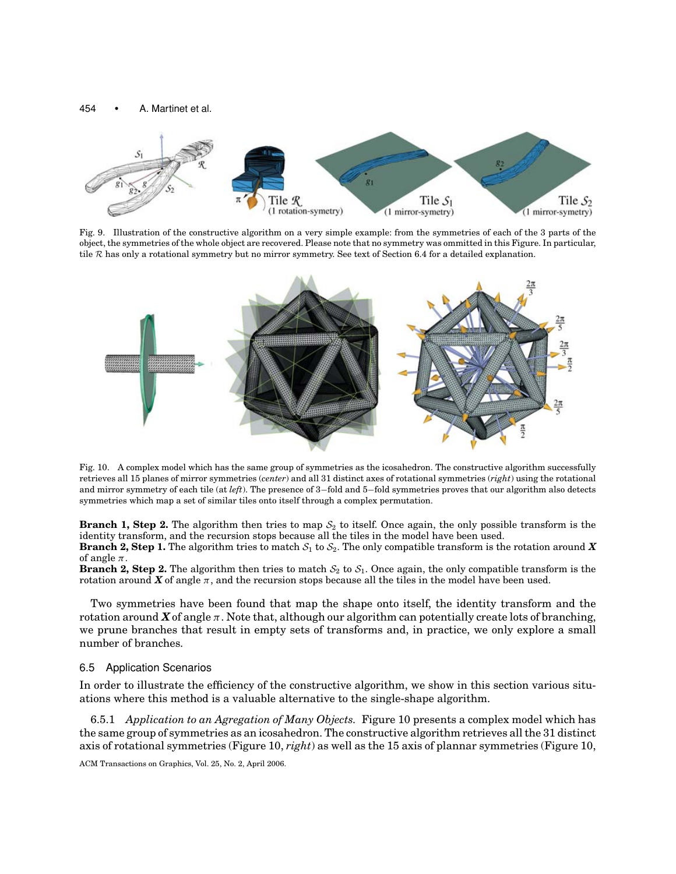

Fig. 9. Illustration of the constructive algorithm on a very simple example: from the symmetries of each of the 3 parts of the object, the symmetries of the whole object are recovered. Please note that no symmetry was ommitted in this Figure. In particular, tile R has only a rotational symmetry but no mirror symmetry. See text of Section 6.4 for a detailed explanation.



Fig. 10. A complex model which has the same group of symmetries as the icosahedron. The constructive algorithm successfully retrieves all 15 planes of mirror symmetries (*center*) and all 31 distinct axes of rotational symmetries (*right*) using the rotational and mirror symmetry of each tile (at *left*). The presence of 3−fold and 5−fold symmetries proves that our algorithm also detects symmetries which map a set of similar tiles onto itself through a complex permutation.

**Branch 1, Step 2.** The algorithm then tries to map  $S_2$  to itself. Once again, the only possible transform is the identity transform, and the recursion stops because all the tiles in the model have been used. **Branch 2, Step 1.** The algorithm tries to match  $S_1$  to  $S_2$ . The only compatible transform is the rotation around **X** of angle  $\pi$ .

**Branch 2, Step 2.** The algorithm then tries to match  $S_2$  to  $S_1$ . Once again, the only compatible transform is the rotation around  $\boldsymbol{X}$  of angle  $\pi$ , and the recursion stops because all the tiles in the model have been used.

Two symmetries have been found that map the shape onto itself, the identity transform and the rotation around  $\chi$  of angle  $\pi$ . Note that, although our algorithm can potentially create lots of branching, we prune branches that result in empty sets of transforms and, in practice, we only explore a small number of branches.

## 6.5 Application Scenarios

In order to illustrate the efficiency of the constructive algorithm, we show in this section various situations where this method is a valuable alternative to the single-shape algorithm.

6.5.1 *Application to an Agregation of Many Objects.* Figure 10 presents a complex model which has the same group of symmetries as an icosahedron. The constructive algorithm retrieves all the 31 distinct axis of rotational symmetries (Figure 10, *right*) as well as the 15 axis of plannar symmetries (Figure 10,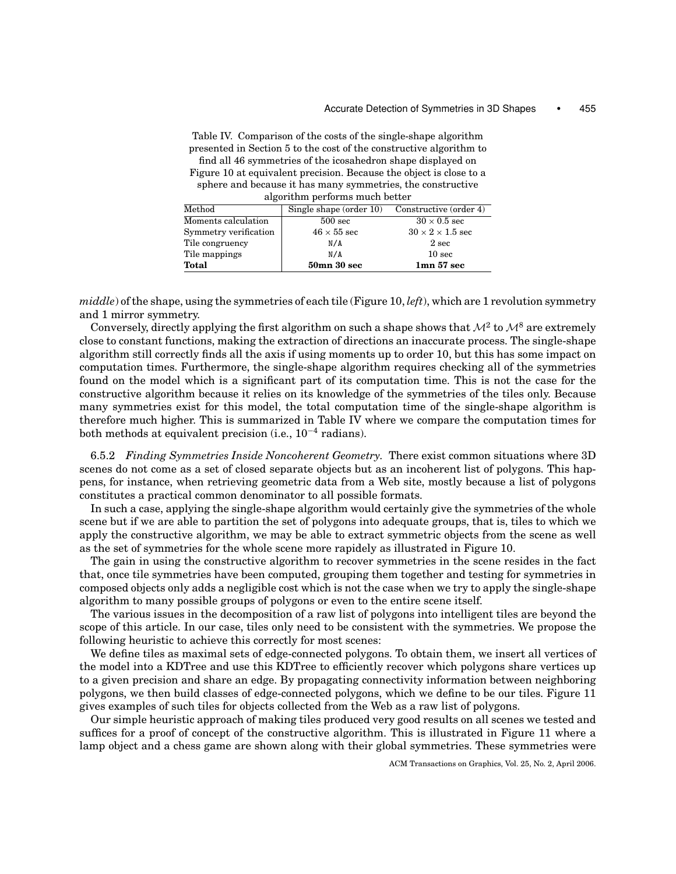Table IV. Comparison of the costs of the single-shape algorithm presented in Section 5 to the cost of the constructive algorithm to find all 46 symmetries of the icosahedron shape displayed on Figure 10 at equivalent precision. Because the object is close to a sphere and because it has many symmetries, the constructive

algorithm performs much better

| Method                | Single shape (order $10$ ) | Constructive (order 4)       |
|-----------------------|----------------------------|------------------------------|
| Moments calculation   | $500 \text{ sec}$          | $30 \times 0.5$ sec          |
| Symmetry verification | $46 \times 55$ sec         | $30 \times 2 \times 1.5$ sec |
| Tile congruency       | N/A                        | 2 sec                        |
| Tile mappings         | N/A                        | 10 <sub>sec</sub>            |
| <b>Total</b>          | $50$ mn $30$ sec           | 1mn 57 sec                   |

*middle*) of the shape, using the symmetries of each tile (Figure 10, *left*), which are 1 revolution symmetry and 1 mirror symmetry.

Conversely, directly applying the first algorithm on such a shape shows that  $\mathcal{M}^2$  to  $\mathcal{M}^8$  are extremely close to constant functions, making the extraction of directions an inaccurate process. The single-shape algorithm still correctly finds all the axis if using moments up to order 10, but this has some impact on computation times. Furthermore, the single-shape algorithm requires checking all of the symmetries found on the model which is a significant part of its computation time. This is not the case for the constructive algorithm because it relies on its knowledge of the symmetries of the tiles only. Because many symmetries exist for this model, the total computation time of the single-shape algorithm is therefore much higher. This is summarized in Table IV where we compare the computation times for both methods at equivalent precision (i.e., 10<sup>−</sup><sup>4</sup> radians).

6.5.2 *Finding Symmetries Inside Noncoherent Geometry.* There exist common situations where 3D scenes do not come as a set of closed separate objects but as an incoherent list of polygons. This happens, for instance, when retrieving geometric data from a Web site, mostly because a list of polygons constitutes a practical common denominator to all possible formats.

In such a case, applying the single-shape algorithm would certainly give the symmetries of the whole scene but if we are able to partition the set of polygons into adequate groups, that is, tiles to which we apply the constructive algorithm, we may be able to extract symmetric objects from the scene as well as the set of symmetries for the whole scene more rapidely as illustrated in Figure 10.

The gain in using the constructive algorithm to recover symmetries in the scene resides in the fact that, once tile symmetries have been computed, grouping them together and testing for symmetries in composed objects only adds a negligible cost which is not the case when we try to apply the single-shape algorithm to many possible groups of polygons or even to the entire scene itself.

The various issues in the decomposition of a raw list of polygons into intelligent tiles are beyond the scope of this article. In our case, tiles only need to be consistent with the symmetries. We propose the following heuristic to achieve this correctly for most scenes:

We define tiles as maximal sets of edge-connected polygons. To obtain them, we insert all vertices of the model into a KDTree and use this KDTree to efficiently recover which polygons share vertices up to a given precision and share an edge. By propagating connectivity information between neighboring polygons, we then build classes of edge-connected polygons, which we define to be our tiles. Figure 11 gives examples of such tiles for objects collected from the Web as a raw list of polygons.

Our simple heuristic approach of making tiles produced very good results on all scenes we tested and suffices for a proof of concept of the constructive algorithm. This is illustrated in Figure 11 where a lamp object and a chess game are shown along with their global symmetries. These symmetries were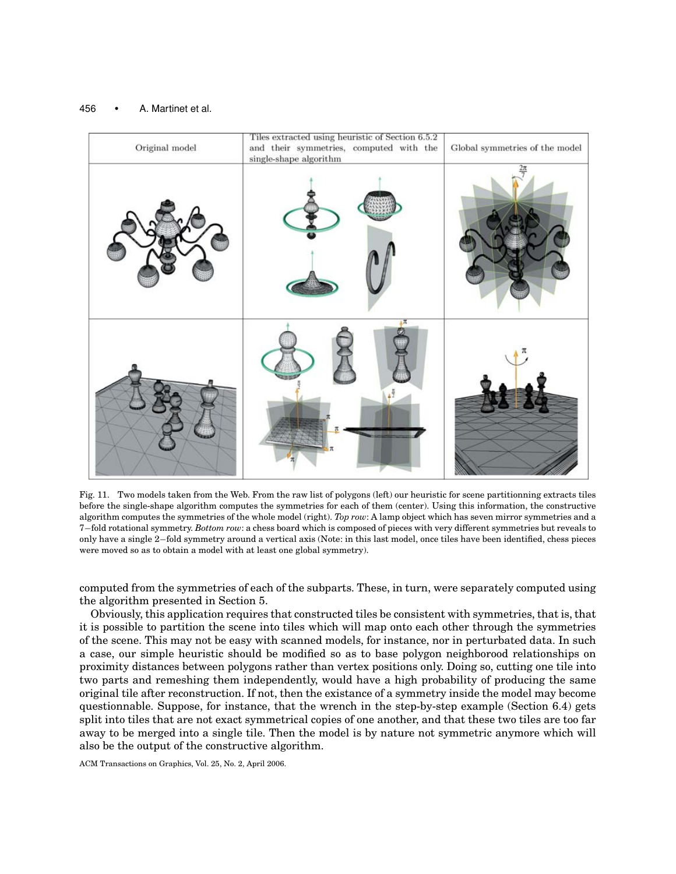

Fig. 11. Two models taken from the Web. From the raw list of polygons (left) our heuristic for scene partitionning extracts tiles before the single-shape algorithm computes the symmetries for each of them (center). Using this information, the constructive algorithm computes the symmetries of the whole model (right). *Top row*: A lamp object which has seven mirror symmetries and a 7−fold rotational symmetry. *Bottom row*: a chess board which is composed of pieces with very different symmetries but reveals to only have a single 2−fold symmetry around a vertical axis (Note: in this last model, once tiles have been identified, chess pieces were moved so as to obtain a model with at least one global symmetry).

computed from the symmetries of each of the subparts. These, in turn, were separately computed using the algorithm presented in Section 5.

Obviously, this application requires that constructed tiles be consistent with symmetries, that is, that it is possible to partition the scene into tiles which will map onto each other through the symmetries of the scene. This may not be easy with scanned models, for instance, nor in perturbated data. In such a case, our simple heuristic should be modified so as to base polygon neighborood relationships on proximity distances between polygons rather than vertex positions only. Doing so, cutting one tile into two parts and remeshing them independently, would have a high probability of producing the same original tile after reconstruction. If not, then the existance of a symmetry inside the model may become questionnable. Suppose, for instance, that the wrench in the step-by-step example (Section 6.4) gets split into tiles that are not exact symmetrical copies of one another, and that these two tiles are too far away to be merged into a single tile. Then the model is by nature not symmetric anymore which will also be the output of the constructive algorithm.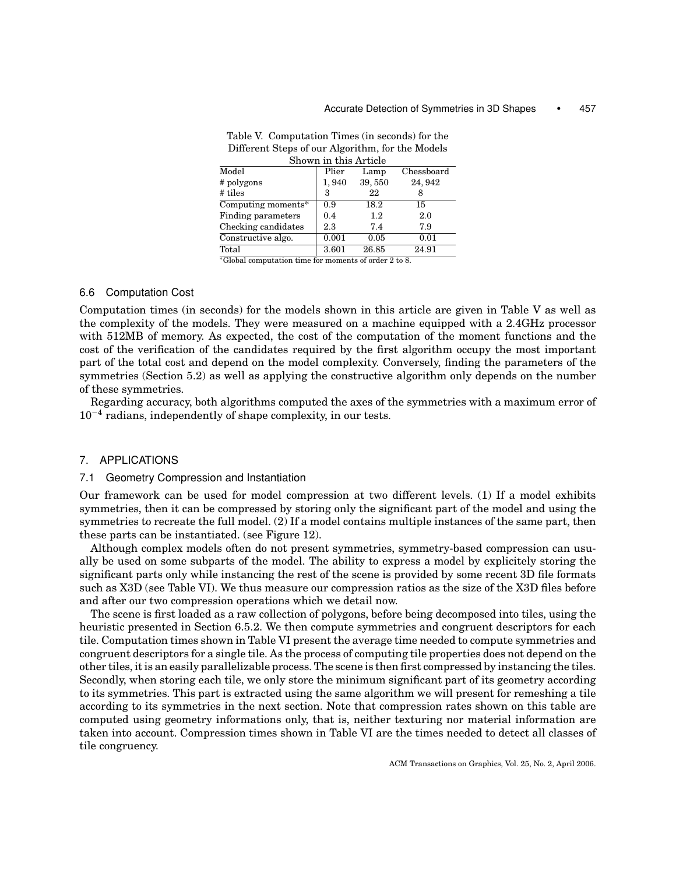| Shown in this Article     |       |        |            |  |
|---------------------------|-------|--------|------------|--|
| $\overline{\text{Model}}$ | Plier | Lamp   | Chessboard |  |
| # polygons                | 1,940 | 39,550 | 24, 942    |  |
| # tiles                   | 3     | 22     |            |  |
| Computing moments*        | 0.9   | 18.2   | 15         |  |
| Finding parameters        | 0.4   | 1.2    | 2.0        |  |
| Checking candidates       | 2.3   | 7.4    | 7.9        |  |
| Constructive algo.        | 0.001 | 0.05   | 0.01       |  |
| Total                     | 3.601 | 26.85  | 24.91      |  |
|                           |       |        |            |  |

Table V. Computation Times (in seconds) for the Different Steps of our Algorithm, for the Models

<sup>∗</sup>Global computation time for moments of order 2 to 8.

# 6.6 Computation Cost

Computation times (in seconds) for the models shown in this article are given in Table V as well as the complexity of the models. They were measured on a machine equipped with a 2.4GHz processor with 512MB of memory. As expected, the cost of the computation of the moment functions and the cost of the verification of the candidates required by the first algorithm occupy the most important part of the total cost and depend on the model complexity. Conversely, finding the parameters of the symmetries (Section 5.2) as well as applying the constructive algorithm only depends on the number of these symmetries.

Regarding accuracy, both algorithms computed the axes of the symmetries with a maximum error of  $10^{-4}$  radians, independently of shape complexity, in our tests.

## 7. APPLICATIONS

# 7.1 Geometry Compression and Instantiation

Our framework can be used for model compression at two different levels. (1) If a model exhibits symmetries, then it can be compressed by storing only the significant part of the model and using the symmetries to recreate the full model. (2) If a model contains multiple instances of the same part, then these parts can be instantiated. (see Figure 12).

Although complex models often do not present symmetries, symmetry-based compression can usually be used on some subparts of the model. The ability to express a model by explicitely storing the significant parts only while instancing the rest of the scene is provided by some recent 3D file formats such as X3D (see Table VI). We thus measure our compression ratios as the size of the X3D files before and after our two compression operations which we detail now.

The scene is first loaded as a raw collection of polygons, before being decomposed into tiles, using the heuristic presented in Section 6.5.2. We then compute symmetries and congruent descriptors for each tile. Computation times shown in Table VI present the average time needed to compute symmetries and congruent descriptors for a single tile. As the process of computing tile properties does not depend on the other tiles, it is an easily parallelizable process. The scene is then first compressed by instancing the tiles. Secondly, when storing each tile, we only store the minimum significant part of its geometry according to its symmetries. This part is extracted using the same algorithm we will present for remeshing a tile according to its symmetries in the next section. Note that compression rates shown on this table are computed using geometry informations only, that is, neither texturing nor material information are taken into account. Compression times shown in Table VI are the times needed to detect all classes of tile congruency.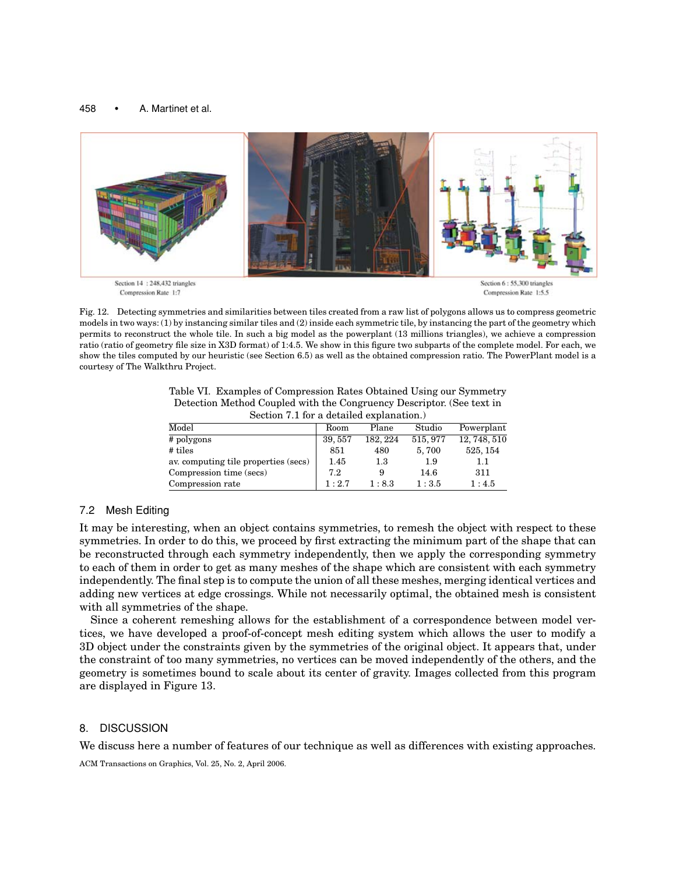

Fig. 12. Detecting symmetries and similarities between tiles created from a raw list of polygons allows us to compress geometric models in two ways: (1) by instancing similar tiles and (2) inside each symmetric tile, by instancing the part of the geometry which permits to reconstruct the whole tile. In such a big model as the powerplant (13 millions triangles), we achieve a compression ratio (ratio of geometry file size in X3D format) of 1:4.5. We show in this figure two subparts of the complete model. For each, we show the tiles computed by our heuristic (see Section 6.5) as well as the obtained compression ratio. The PowerPlant model is a courtesy of The Walkthru Project.

Table VI. Examples of Compression Rates Obtained Using our Symmetry Detection Method Coupled with the Congruency Descriptor. (See text in Section 7.1 for a detailed explanation.)

| Model                                | Room    | Plane    | Studio   | Powerplant   |  |
|--------------------------------------|---------|----------|----------|--------------|--|
| # polygons                           | 39, 557 | 182, 224 | 515, 977 | 12, 748, 510 |  |
| $#$ tiles                            | 851     | 480      | 5,700    | 525, 154     |  |
| ay, computing tile properties (secs) | 1.45    | 1.3      | 1.9      | 1.1          |  |
| Compression time (secs)              | 72      |          | 14.6     | 311          |  |
| Compression rate                     | 1:2.7   | 1:8.3    | 1:3.5    | 1:4.5        |  |

# 7.2 Mesh Editing

It may be interesting, when an object contains symmetries, to remesh the object with respect to these symmetries. In order to do this, we proceed by first extracting the minimum part of the shape that can be reconstructed through each symmetry independently, then we apply the corresponding symmetry to each of them in order to get as many meshes of the shape which are consistent with each symmetry independently. The final step is to compute the union of all these meshes, merging identical vertices and adding new vertices at edge crossings. While not necessarily optimal, the obtained mesh is consistent with all symmetries of the shape.

Since a coherent remeshing allows for the establishment of a correspondence between model vertices, we have developed a proof-of-concept mesh editing system which allows the user to modify a 3D object under the constraints given by the symmetries of the original object. It appears that, under the constraint of too many symmetries, no vertices can be moved independently of the others, and the geometry is sometimes bound to scale about its center of gravity. Images collected from this program are displayed in Figure 13.

# 8. DISCUSSION

We discuss here a number of features of our technique as well as differences with existing approaches.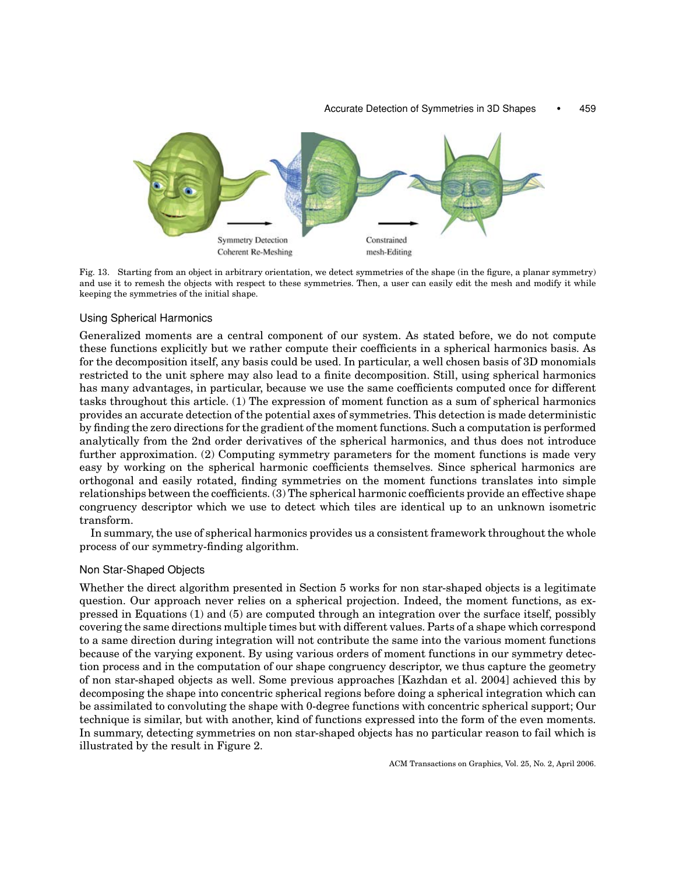

Fig. 13. Starting from an object in arbitrary orientation, we detect symmetries of the shape (in the figure, a planar symmetry) and use it to remesh the objects with respect to these symmetries. Then, a user can easily edit the mesh and modify it while keeping the symmetries of the initial shape.

## Using Spherical Harmonics

Generalized moments are a central component of our system. As stated before, we do not compute these functions explicitly but we rather compute their coefficients in a spherical harmonics basis. As for the decomposition itself, any basis could be used. In particular, a well chosen basis of 3D monomials restricted to the unit sphere may also lead to a finite decomposition. Still, using spherical harmonics has many advantages, in particular, because we use the same coefficients computed once for different tasks throughout this article. (1) The expression of moment function as a sum of spherical harmonics provides an accurate detection of the potential axes of symmetries. This detection is made deterministic by finding the zero directions for the gradient of the moment functions. Such a computation is performed analytically from the 2nd order derivatives of the spherical harmonics, and thus does not introduce further approximation. (2) Computing symmetry parameters for the moment functions is made very easy by working on the spherical harmonic coefficients themselves. Since spherical harmonics are orthogonal and easily rotated, finding symmetries on the moment functions translates into simple relationships between the coefficients. (3) The spherical harmonic coefficients provide an effective shape congruency descriptor which we use to detect which tiles are identical up to an unknown isometric transform.

In summary, the use of spherical harmonics provides us a consistent framework throughout the whole process of our symmetry-finding algorithm.

# Non Star-Shaped Objects

Whether the direct algorithm presented in Section 5 works for non star-shaped objects is a legitimate question. Our approach never relies on a spherical projection. Indeed, the moment functions, as expressed in Equations (1) and (5) are computed through an integration over the surface itself, possibly covering the same directions multiple times but with different values. Parts of a shape which correspond to a same direction during integration will not contribute the same into the various moment functions because of the varying exponent. By using various orders of moment functions in our symmetry detection process and in the computation of our shape congruency descriptor, we thus capture the geometry of non star-shaped objects as well. Some previous approaches [Kazhdan et al. 2004] achieved this by decomposing the shape into concentric spherical regions before doing a spherical integration which can be assimilated to convoluting the shape with 0-degree functions with concentric spherical support; Our technique is similar, but with another, kind of functions expressed into the form of the even moments. In summary, detecting symmetries on non star-shaped objects has no particular reason to fail which is illustrated by the result in Figure 2.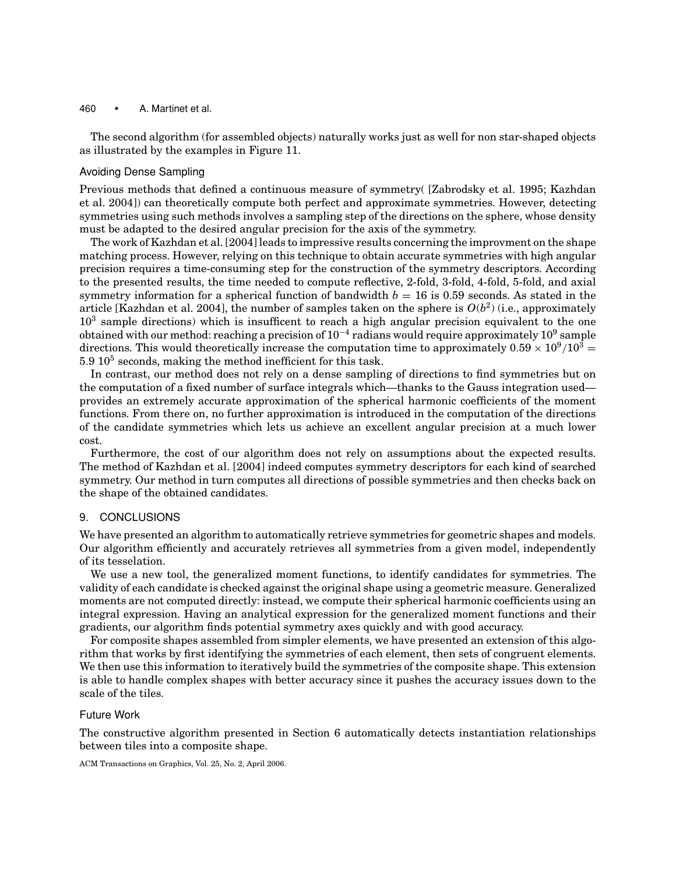The second algorithm (for assembled objects) naturally works just as well for non star-shaped objects as illustrated by the examples in Figure 11.

## Avoiding Dense Sampling

Previous methods that defined a continuous measure of symmetry( [Zabrodsky et al. 1995; Kazhdan et al. 2004]) can theoretically compute both perfect and approximate symmetries. However, detecting symmetries using such methods involves a sampling step of the directions on the sphere, whose density must be adapted to the desired angular precision for the axis of the symmetry.

The work of Kazhdan et al. [2004] leads to impressive results concerning the improvment on the shape matching process. However, relying on this technique to obtain accurate symmetries with high angular precision requires a time-consuming step for the construction of the symmetry descriptors. According to the presented results, the time needed to compute reflective, 2-fold, 3-fold, 4-fold, 5-fold, and axial symmetry information for a spherical function of bandwidth  $b = 16$  is 0.59 seconds. As stated in the article [Kazhdan et al. 2004], the number of samples taken on the sphere is  $O(b^2)$  (i.e., approximately  $10<sup>3</sup>$  sample directions) which is insufficent to reach a high angular precision equivalent to the one obtained with our method: reaching a precision of  $10^{-4}$  radians would require approximately  $10^9$  sample directions. This would theoretically increase the computation time to approximately  $0.59 \times 10^9/10^3$  =  $5.9\ 10^5$  seconds, making the method inefficient for this task.

In contrast, our method does not rely on a dense sampling of directions to find symmetries but on the computation of a fixed number of surface integrals which—thanks to the Gauss integration used provides an extremely accurate approximation of the spherical harmonic coefficients of the moment functions. From there on, no further approximation is introduced in the computation of the directions of the candidate symmetries which lets us achieve an excellent angular precision at a much lower cost.

Furthermore, the cost of our algorithm does not rely on assumptions about the expected results. The method of Kazhdan et al. [2004] indeed computes symmetry descriptors for each kind of searched symmetry. Our method in turn computes all directions of possible symmetries and then checks back on the shape of the obtained candidates.

## 9. CONCLUSIONS

We have presented an algorithm to automatically retrieve symmetries for geometric shapes and models. Our algorithm efficiently and accurately retrieves all symmetries from a given model, independently of its tesselation.

We use a new tool, the generalized moment functions, to identify candidates for symmetries. The validity of each candidate is checked against the original shape using a geometric measure. Generalized moments are not computed directly: instead, we compute their spherical harmonic coefficients using an integral expression. Having an analytical expression for the generalized moment functions and their gradients, our algorithm finds potential symmetry axes quickly and with good accuracy.

For composite shapes assembled from simpler elements, we have presented an extension of this algorithm that works by first identifying the symmetries of each element, then sets of congruent elements. We then use this information to iteratively build the symmetries of the composite shape. This extension is able to handle complex shapes with better accuracy since it pushes the accuracy issues down to the scale of the tiles.

# Future Work

The constructive algorithm presented in Section 6 automatically detects instantiation relationships between tiles into a composite shape.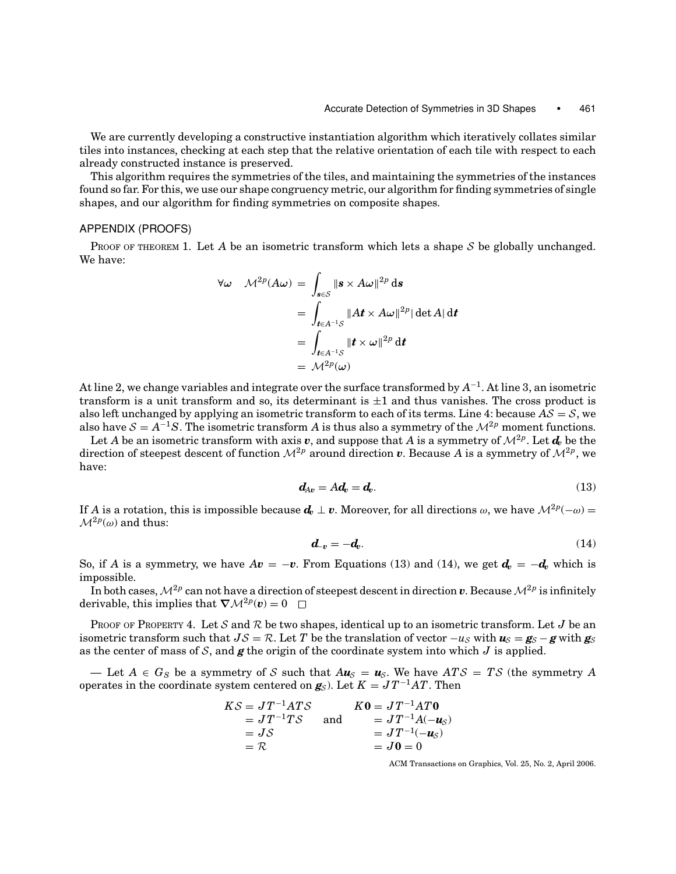We are currently developing a constructive instantiation algorithm which iteratively collates similar tiles into instances, checking at each step that the relative orientation of each tile with respect to each already constructed instance is preserved.

This algorithm requires the symmetries of the tiles, and maintaining the symmetries of the instances found so far. For this, we use our shape congruency metric, our algorithm for finding symmetries of single shapes, and our algorithm for finding symmetries on composite shapes.

# APPENDIX (PROOFS)

PROOF OF THEOREM 1. Let A be an isometric transform which lets a shape S be globally unchanged. We have:

$$
\forall \omega \quad \mathcal{M}^{2p}(A\omega) = \int_{\mathbf{s} \in \mathcal{S}} \|\mathbf{s} \times A\omega\|^{2p} \, \mathrm{d}\mathbf{s}
$$
  
= 
$$
\int_{\mathbf{t} \in A^{-1}S} \|A\mathbf{t} \times A\omega\|^{2p} |\det A| \, \mathrm{d}\mathbf{t}
$$
  
= 
$$
\int_{\mathbf{t} \in A^{-1}S} \|\mathbf{t} \times \omega\|^{2p} \, \mathrm{d}\mathbf{t}
$$
  
= 
$$
\mathcal{M}^{2p}(\omega)
$$

At line 2, we change variables and integrate over the surface transformed by *A*<sup>−</sup>1. At line 3, an isometric transform is a unit transform and so, its determinant is  $\pm 1$  and thus vanishes. The cross product is also left unchanged by applying an isometric transform to each of its terms. Line 4: because  $AS = S$ , we also have  $S = A^{-1}S$ . The isometric transform *A* is thus also a symmetry of the  $\mathcal{M}^{2p}$  moment functions.

Let *A* be an isometric transform with axis *v*, and suppose that *A* is a symmetry of  $\mathcal{M}^{2p}$ . Let  $d_v$  be the direction of steepest descent of function  $\mathcal{M}^{2p}$  around direction v. Because A is a symmetry of  $\mathcal{M}^{2p}$ , we have:

$$
d_{Av} = Ad_v = d_v. \tag{13}
$$

If *A* is a rotation, this is impossible because  $d_v \perp v$ . Moreover, for all directions  $\omega$ , we have  $\mathcal{M}^{2p}(-\omega)$  =  $\mathcal{M}^{2p}(\omega)$  and thus:

$$
d_{-v} = -d_v. \tag{14}
$$

So, if *A* is a symmetry, we have  $Av = -v$ . From Equations (13) and (14), we get  $d_v = -d_v$  which is impossible.

In both cases,  $\mathcal{M}^{2p}$  can not have a direction of steepest descent in direction  $v$ . Because  $\mathcal{M}^{2p}$  is infinitely derivable, this implies that  $\nabla \mathcal{M}^{2p}(\mathbf{v}) = 0$ 

PROOF OF PROPERTY 4. Let S and R be two shapes, identical up to an isometric transform. Let J be an isometric transform such that  $J\mathcal{S} = \mathcal{R}$ . Let *T* be the translation of vector  $-u_{\mathcal{S}}$  with  $u_{\mathcal{S}} = g_{\mathcal{S}} - g$  with  $g_{\mathcal{S}}$ as the center of mass of  $S$ , and  $g$  the origin of the coordinate system into which  $J$  is applied.

— Let  $A \in G_S$  be a symmetry of S such that  $A\mathbf{u}_S = \mathbf{u}_S$ . We have  $ATS = TS$  (the symmetry A operates in the coordinate system centered on  $g_S$ ). Let  $K = JT^{-1}AT$ . Then

$$
KS = JT^{-1}ATS
$$
  
\n
$$
= JT^{-1}TS
$$
  
\n
$$
= JS
$$
  
\n
$$
= JT^{-1}A(-u_S)
$$
  
\n
$$
= JS
$$
  
\n
$$
= JT^{-1}(-u_S)
$$
  
\n
$$
= J0 = 0
$$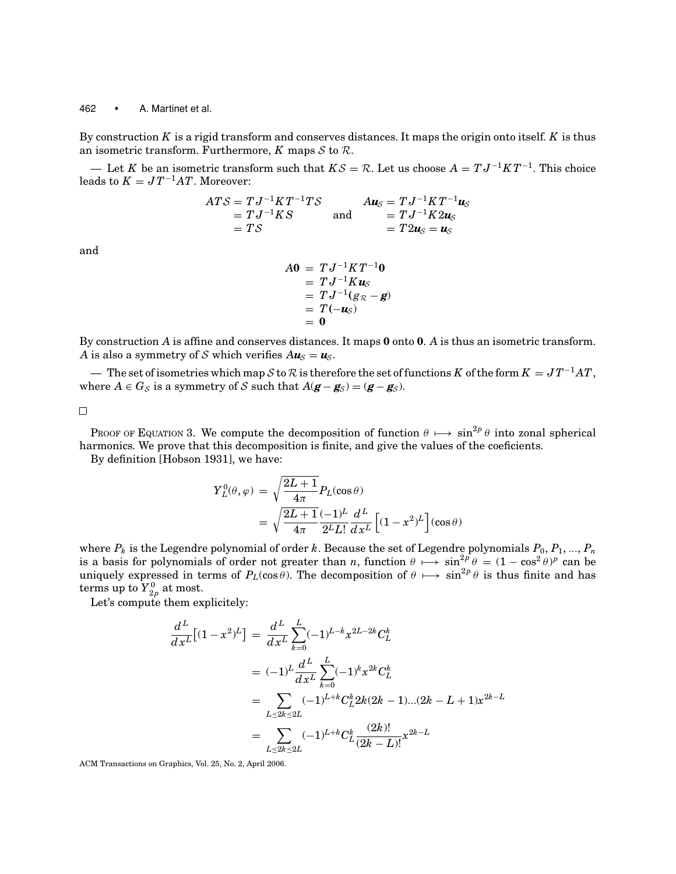By construction *K* is a rigid transform and conserves distances. It maps the origin onto itself. *K* is thus an isometric transform. Furthermore,  $K$  maps  $S$  to  $R$ .

— Let *K* be an isometric transform such that  $KS = \mathcal{R}$ . Let us choose  $A = TJ^{-1}KT^{-1}$ . This choice leads to  $K = J T^{-1} A T$ . Moreover:

$$
ATS = TJ^{-1}KT^{-1}TS
$$
  
=  $TJ^{-1}KS$   
=  $TS$   

$$
TS
$$
 and 
$$
A\mathbf{u}_{S} = TJ^{-1}KT^{-1}\mathbf{u}_{S}
$$
  
=  $TJ^{-1}K2\mathbf{u}_{S}$   
=  $T2\mathbf{u}_{S} = \mathbf{u}_{S}$ 

and

$$
A\mathbf{0} = T J^{-1} K T^{-1} \mathbf{0}
$$
  
= 
$$
T J^{-1} K \mathbf{u}_s
$$
  
= 
$$
T J^{-1} (g_R - g)
$$
  
= 
$$
T(-\mathbf{u}_s)
$$
  
= 
$$
\mathbf{0}
$$

By construction *A* is affine and conserves distances. It maps **0** onto **0**. *A* is thus an isometric transform. *A* is also a symmetry of S which verifies  $A\mathbf{u}_{\mathcal{S}} = \mathbf{u}_{\mathcal{S}}$ .

— The set of isometries which map S to R is therefore the set of functions K of the form  $K = JT^{-1}AT$ , where  $A \in G_S$  is a symmetry of S such that  $A(\mathbf{g} - \mathbf{g}_S) = (\mathbf{g} - \mathbf{g}_S)$ .

 $\Box$ 

PROOF OF EQUATION 3. We compute the decomposition of function  $\theta \mapsto \sin^{2p} \theta$  into zonal spherical harmonics. We prove that this decomposition is finite, and give the values of the coeficients.

By definition [Hobson 1931], we have:

$$
Y_L^0(\theta, \varphi) = \sqrt{\frac{2L+1}{4\pi}} P_L(\cos \theta)
$$
  
= 
$$
\sqrt{\frac{2L+1}{4\pi}} \frac{(-1)^L}{2^L L!} \frac{d^L}{dx^L} \left[ (1 - x^2)^L \right] (\cos \theta)
$$

where  $P_k$  is the Legendre polynomial of order  $k$ . Because the set of Legendre polynomials  $P_0, P_1, ..., P_n$ is a basis for polynomials of order not greater than *n*, function  $\theta \mapsto \sin^{2p} \theta = (1 - \cos^2 \theta)^p$  can be uniquely expressed in terms of  $P_L(\cos \theta)$ . The decomposition of  $\theta \mapsto \sin^{2p} \theta$  is thus finite and has  $\mathrm{terms}$  up to  ${Y}_{2p}^0$  at most.

Let's compute them explicitely:

$$
\frac{d^{L}}{dx^{L}}[(1-x^{2})^{L}] = \frac{d^{L}}{dx^{L}} \sum_{k=0}^{L} (-1)^{L-k} x^{2L-2k} C_{L}^{k}
$$
\n
$$
= (-1)^{L} \frac{d^{L}}{dx^{L}} \sum_{k=0}^{L} (-1)^{k} x^{2k} C_{L}^{k}
$$
\n
$$
= \sum_{L \le 2k \le 2L} (-1)^{L+k} C_{L}^{k} 2k (2k-1)...(2k-L+1) x^{2k-L}
$$
\n
$$
= \sum_{L \le 2k \le 2L} (-1)^{L+k} C_{L}^{k} \frac{(2k)!}{(2k-L)!} x^{2k-L}
$$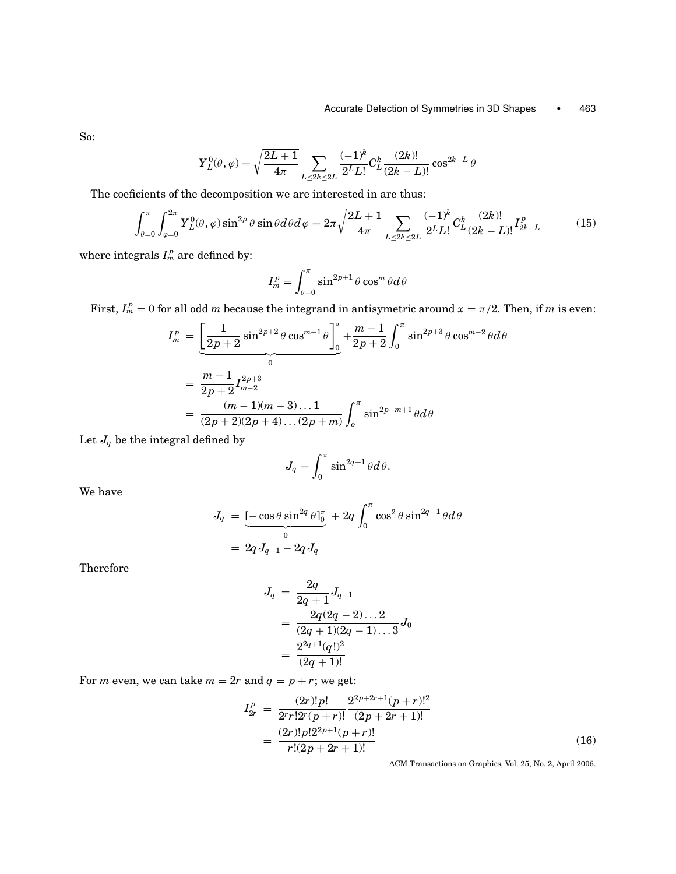So:

$$
Y_L^0(\theta,\varphi) = \sqrt{\frac{2L+1}{4\pi}} \sum_{L \le 2k \le 2L} \frac{(-1)^k}{2^L L!} C_L^k \frac{(2k)!}{(2k-L)!} \cos^{2k-L} \theta
$$

The coeficients of the decomposition we are interested in are thus:

$$
\int_{\theta=0}^{\pi} \int_{\varphi=0}^{2\pi} Y_L^0(\theta, \varphi) \sin^{2p} \theta \sin \theta d\theta d\varphi = 2\pi \sqrt{\frac{2L+1}{4\pi}} \sum_{L \le 2k \le 2L} \frac{(-1)^k}{2^L L!} C_L^k \frac{(2k)!}{(2k-L)!} I_{2k-L}^p \tag{15}
$$

where integrals  $I_m^p$  are defined by:

$$
I_m^p=\int_{\theta=0}^\pi\sin^{2p+1}\theta\cos^m\theta d\theta
$$

First,  $I_m^p = 0$  for all odd *m* because the integrand in antisymetric around  $x = \pi/2$ . Then, if *m* is even:

$$
I_m^p = \underbrace{\left[\frac{1}{2p+2}\sin^{2p+2}\theta\cos^{m-1}\theta\right]_0^{\pi}}_{0} + \frac{m-1}{2p+2}\int_0^{\pi}\sin^{2p+3}\theta\cos^{m-2}\theta d\theta
$$
  
= 
$$
\frac{m-1}{2p+2}I_{m-2}^{2p+3}
$$
  
= 
$$
\frac{(m-1)(m-3)\dots 1}{(2p+2)(2p+4)\dots (2p+m)}\int_0^{\pi}\sin^{2p+m+1}\theta d\theta
$$

Let  $J_q$  be the integral defined by

$$
J_q = \int_0^\pi \sin^{2q+1}\theta d\theta.
$$

We have

$$
J_q = \underbrace{[-\cos\theta \sin^{2q}\theta]_0^{\pi}}_{0} + 2q \int_0^{\pi} \cos^2\theta \sin^{2q-1}\theta d\theta
$$
  
=  $2q J_{q-1} - 2q J_q$ 

Therefore

$$
J_q \ = \ \frac{2q}{2q+1} J_{q-1} \\ \ = \ \frac{2q(2q-2)\dots 2}{(2q+1)(2q-1)\dots 3} J_0 \\ \ = \ \frac{2^{2q+1}(q!)^2}{(2q+1)!}
$$

For *m* even, we can take  $m = 2r$  and  $q = p + r$ ; we get:

$$
I_{2r}^p = \frac{(2r)!p!}{2^r r!2^r (p+r)!} \frac{2^{2p+2r+1} (p+r)!^2}{(2p+2r+1)!}
$$
  
= 
$$
\frac{(2r)!p!2^{2p+1} (p+r)!}{r!(2p+2r+1)!}
$$
 (16)